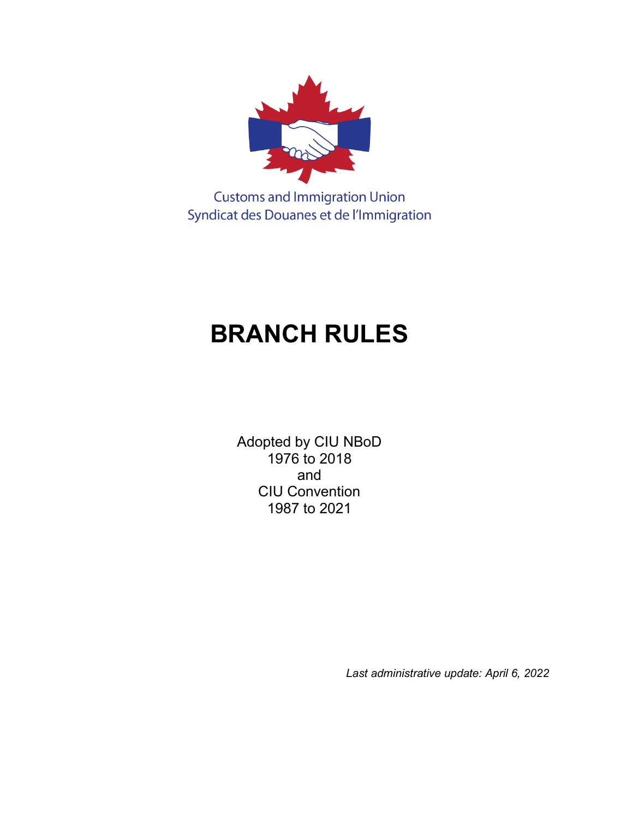

**Customs and Immigration Union** Syndicat des Douanes et de l'Immigration

# **BRANCH RULES**

Adopted by CIU NBoD 1976 to 2018 and CIU Convention 1987 to 2021

*Last administrative update: April 6, 2022*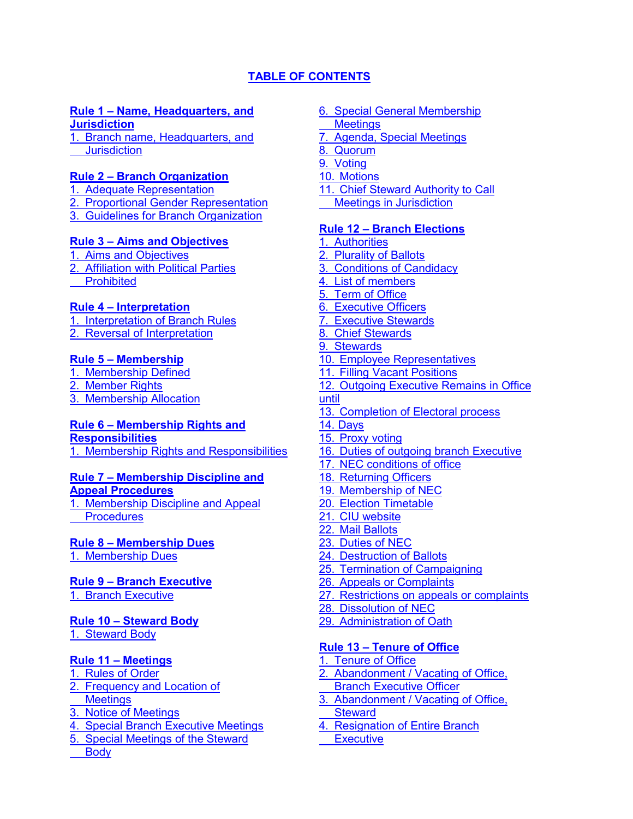# **[TABLE OF CONTENTS](#page-1-0)**

#### <span id="page-1-0"></span>**[Rule 1 – Name, Headquarters, and](#page-3-0)  [Jurisdiction](#page-3-0)**

[1. Branch name, Headquarters, and](#page-3-1) **[Jurisdiction](#page-3-1)** 

#### **[Rule 2 – Branch Organization](#page-3-2)**

- 1. [Adequate Representation](#page-3-3)
- [2. Proportional Gender](#page-3-4) Representation
- 3. [Guidelines for Branch](#page-3-5) Organization

#### **[Rule 3 – Aims and Objectives](#page-3-6)**

- [1. Aims and Objectives](#page-3-7) 2. [Affiliation with Political Parties](#page-4-0)
- [Prohibited](#page-4-0)

#### **[Rule 4 – Interpretation](#page-4-1)**

- 1. [Interpretation of Branch Rules](#page-4-2) [2. Reversal of Interpretation](#page-4-3)
- 

#### **[Rule 5 – Membership](#page-4-4)**

1. [Membership Defined](#page-4-5) 2. [Member Rights](#page-4-6)

3. [Membership Allocation](#page-4-7)

# **[Rule 6 – Membership Rights and](#page-4-8)**

**[Responsibilities](#page-4-8)** 1. [Membership Rights and Responsibilities](#page-4-9)

#### **[Rule 7 – Membership Discipline and](#page-4-10)**

#### **[Appeal Procedures](#page-4-10)** 1. [Membership Discipline and Appeal](#page-4-11) **[Procedures](#page-4-11)**

# **[Rule 8 – Membership Dues](#page-4-12)**

1. [Membership Dues](#page-5-0)

# **[Rule 9 – Branch Executive](#page-5-1)**

1. [Branch Executive](#page-5-2)

#### **[Rule 10 – Steward Body](#page-5-3)**

1. [Steward](#page-5-4) Body

#### **[Rule 11 – Meetings](#page-5-5)**

- 1. [Rules of Order](#page-5-6)
- 2. [Frequency and Location of](#page-5-7) **[Meetings](#page-5-7)**
- 3. [Notice of Meetings](#page-5-8)
- 4. [Special Branch Executive](#page-6-0) Meetings
- 5. [Special Meetings of the Steward](#page-6-1)
- **[Body](#page-6-1)**
- 6. [Special General Membership](#page-6-2)  **[Meetings](#page-6-2)**
- 7. [Agenda, Special Meetings](#page-6-3)
- 8. [Quorum](#page-6-4)
- 9. [Voting](#page-6-5)
- 10. [Motions](#page-6-6)
- 11. [Chief Steward Authority to Call](#page-6-7)
- [Meetings in Jurisdiction](#page-6-7)

#### **[Rule 12 – Branch Elections](#page-7-0)**

- 1. [Authorities](#page-7-1)
- 2. [Plurality of Ballots](#page-7-2)
- 3. [Conditions of Candidacy](#page-7-3)
- 4. [List of members](#page-7-4)
- 5. [Term of Office](#page-7-5)
- 6. [Executive Officers](#page-7-6)
- 7. [Executive](#page-7-7) Stewards
- 8. [Chief Stewards](#page-7-8)
- 9. [Stewards](#page-7-9)
- 10. [Employee Representatives](#page-8-0)
- 11. [Filling Vacant Positions](#page-8-1)
- 12. [Outgoing Executive Remains in Office](#page-8-2)  [until](#page-8-2)
- 13. [Completion of Electoral process](#page-8-3)
- 14. Days
- 15. [Proxy voting](#page-8-4)
- 16. Duties of outgoing branch Executive
- 17. [NEC conditions of office](#page-9-0)
- 18. [Returning Officers](#page-9-1)
- 19. Membership of NEC
- 20. [Election Timetable](#page-9-2)
- 21. [CIU website](#page-10-0)
- [22. Mail Ballots](#page-10-1)
- 23. [Duties of NEC](#page-11-0)
- 24. [Destruction of Ballots](#page-12-0)
- 25. [Termination of Campaigning](#page-12-1)
- 26. [Appeals or Complaints](#page-13-0)
- 27. [Restrictions on appeals](#page-13-1) or complaints
- 28. [Dissolution of NEC](#page-13-2)
- [29. Administration of Oath](#page-13-3)

# **[Rule 13 – Tenure of Office](#page-13-4)**

- 1. [Tenure of Office](#page-13-5)
- 2. [Abandonment / Vacating of Office,](#page-14-0) [Branch Executive Officer](#page-14-0)
- 3. [Abandonment / Vacating of Office,](#page-14-1) **[Steward](#page-14-1)**
- [4. Resignation of Entire Branch](#page-14-2)
- **Executive**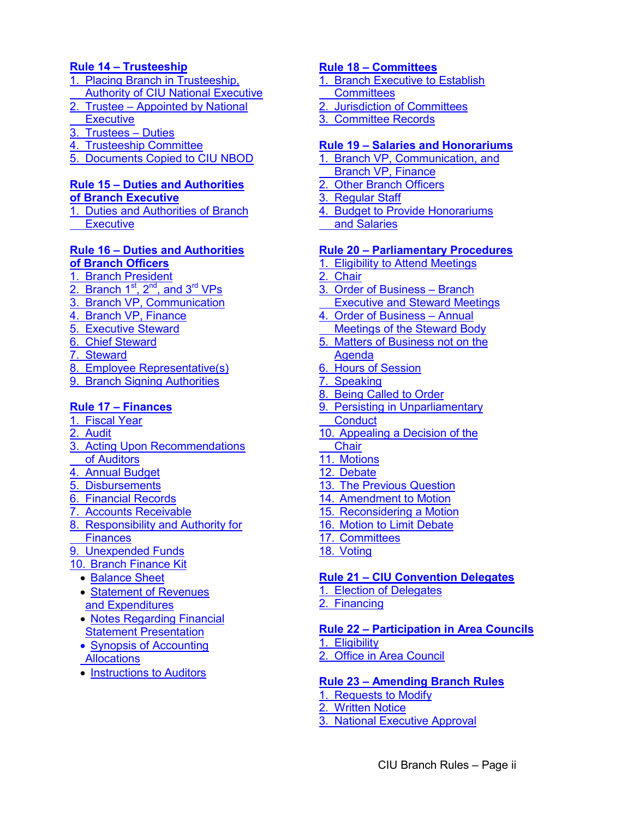## **[Rule 14 – Trusteeship](#page-14-3)**

- 1. [Placing Branch in Trusteeship,](#page-14-4)  [Authority of CIU National Executive](#page-14-4)
- 2. [Trustee Appointed by National](#page-15-0)  **[Executive](#page-15-0)**
- 3. [Trustees Duties](#page-15-1)
- 4. [Trusteeship Committee](#page-15-2)
- 5. [Documents Copied to CIU NBOD](#page-15-3)

# **[Rule 15 – Duties and Authorities](#page-15-4) [of Branch Executive](#page-15-4)**

1. [Duties and Authorities of Branch](#page-15-5) **Executive** 

# **[Rule 16 – Duties and Authorities](#page-15-6)  [of Branch Officers](#page-15-6)**

- 1. [Branch President](#page-15-7)
- 2. Branch  $1<sup>st</sup>$ ,  $2<sup>nd</sup>$ , and  $3<sup>rd</sup>$  VPs
- 3. [Branch VP, Communication](#page-17-0)
- 4. [Branch VP, Finance](#page-17-1)
- 5. [Executive Steward](#page-18-0)
- 6. [Chief Steward](#page-18-1)
- 7. [Steward](#page-18-2)
- 8. [Employee Representative\(s\)](#page-19-0)
- 9. [Branch Signing Authorities](#page-19-1)

# **[Rule 17 – Finances](#page-19-2)**

- 1. [Fiscal Year](#page-19-3)
- 2. [Audit](#page-20-0)
- 3. [Acting Upon Recommendations](#page-20-1) [of Auditors](#page-20-1)
- 4. [Annual Budget](#page-20-2)
- 5. [Disbursements](#page-20-3)
- 6. [Financial Records](#page-21-0)
- 7. [Accounts Receivable](#page-21-1)
- 8. [Responsibility and Authority for](#page-21-2)
- **[Finances](#page-21-2)**
- 9. [Unexpended Funds](#page-21-3)
- 10. [Branch Finance Kit](#page-22-0)
	- [Balance Sheet](#page-22-1)
	- [Statement of Revenues](#page-23-0) [and Expenditures](#page-23-0)
	- [Notes Regarding Financial](#page-24-0)  [Statement Presentation](#page-24-0)
	- [Synopsis of Accounting](#page-24-1) [Allocations](#page-24-1)
	- [Instructions to Auditors](#page-26-0)

# **[Rule 18 – Committees](#page-27-0)**

- 1. [Branch Executive to Establish](#page-27-1)
- **[Committees](#page-27-1)**
- 2. [Jurisdiction of Committees](#page-27-2)
- 3. [Committee Records](#page-27-3)

# **[Rule 19 – Salaries and Honorariums](#page-27-4)**

- 1. [Branch VP, Communication, and](#page-27-5)
- [Branch VP, Finance](#page-27-5)
- 2. [Other Branch Officers](#page-28-0)
- 3. [Regular Staff](#page-28-1)
- 4. [Budget to Provide Honorariums](#page-28-2)
- [and Salaries](#page-28-2)

# **[Rule 20 – Parliamentary Procedures](#page-28-3)**

- 1. [Eligibility to Attend Meetings](#page-28-4)
- 2. [Chair](#page-28-5)
- 3. [Order of Business Branch](#page-28-6)  [Executive and Steward Meetings](#page-28-6)
- 4. [Order of Business Annual](#page-28-7)
- [Meetings of the Steward Body](#page-28-7)
- 5. [Matters of Business not on the](#page-29-0) [Agenda](#page-29-0)
- 6. [Hours of Session](#page-29-1)
- 7. [Speaking](#page-29-2)
- 8. [Being Called to Order](#page-29-3)
- 9. [Persisting in Unparliamentary](#page-29-4)
- **[Conduct](#page-29-4)**
- 10. [Appealing a Decision of the](#page-29-5) **[Chair](#page-29-5)**
- 11. [Motions](#page-30-0)
- 12. [Debate](#page-30-1)
- 13. [The Previous Question](#page-30-2)
- 14. [Amendment to Motion](#page-30-3)
- 15. [Reconsidering a Motion](#page-31-0)
- 16. [Motion to Limit Debate](#page-31-1)
- 17. [Committees](#page-31-2)
- 18. [Voting](#page-31-3)

# **[Rule 21 – CIU Convention Delegates](#page-32-0)**

1. [Election of Delegates](#page-32-1)

2. [Financing](#page-32-2)

#### **[Rule 22 – Participation in Area Councils](#page-32-3)** 1. [Eligibility](#page-32-4) 2. [Office in Area Council](#page-32-5)

# **[Rule 23 – Amending Branch Rules](#page-32-6)**

- 1. [Requests to Modify](#page-32-7)
- 2. [Written Notice](#page-33-0)
- 3. [National Executive Approval](#page-33-1)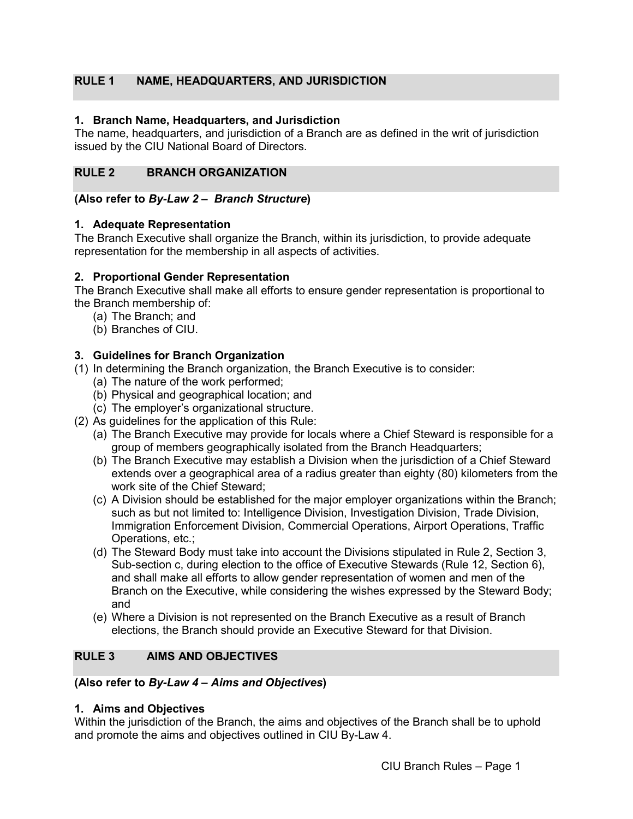# <span id="page-3-0"></span>**RULE 1 NAME, HEADQUARTERS, AND JURISDICTION**

## <span id="page-3-1"></span>**1. Branch Name, Headquarters, and Jurisdiction**

The name, headquarters, and jurisdiction of a Branch are as defined in the writ of jurisdiction issued by the CIU National Board of Directors.

# <span id="page-3-2"></span>**RULE 2 BRANCH ORGANIZATION**

#### **(Also refer to** *By-Law 2 – Branch Structure***)**

#### <span id="page-3-3"></span>**1. Adequate Representation**

The Branch Executive shall organize the Branch, within its jurisdiction, to provide adequate representation for the membership in all aspects of activities.

#### <span id="page-3-4"></span>**2. Proportional Gender Representation**

The Branch Executive shall make all efforts to ensure gender representation is proportional to the Branch membership of:

- (a) The Branch; and
- (b) Branches of CIU.

## <span id="page-3-5"></span>**3. Guidelines for Branch Organization**

- (1) In determining the Branch organization, the Branch Executive is to consider:
	- (a) The nature of the work performed;
	- (b) Physical and geographical location; and
	- (c) The employer's organizational structure.
- (2) As guidelines for the application of this Rule:
	- (a) The Branch Executive may provide for locals where a Chief Steward is responsible for a group of members geographically isolated from the Branch Headquarters;
	- (b) The Branch Executive may establish a Division when the jurisdiction of a Chief Steward extends over a geographical area of a radius greater than eighty (80) kilometers from the work site of the Chief Steward;
	- (c) A Division should be established for the major employer organizations within the Branch; such as but not limited to: Intelligence Division, Investigation Division, Trade Division, Immigration Enforcement Division, Commercial Operations, Airport Operations, Traffic Operations, etc.;
	- (d) The Steward Body must take into account the Divisions stipulated in Rule 2, Section 3, Sub-section c, during election to the office of Executive Stewards (Rule 12, Section 6), and shall make all efforts to allow gender representation of women and men of the Branch on the Executive, while considering the wishes expressed by the Steward Body; and
	- (e) Where a Division is not represented on the Branch Executive as a result of Branch elections, the Branch should provide an Executive Steward for that Division.

# <span id="page-3-6"></span>**RULE 3 AIMS AND OBJECTIVES**

#### **(Also refer to** *By-Law 4 – Aims and Objectives***)**

#### <span id="page-3-7"></span>**1. Aims and Objectives**

Within the jurisdiction of the Branch, the aims and objectives of the Branch shall be to uphold and promote the aims and objectives outlined in CIU By-Law 4.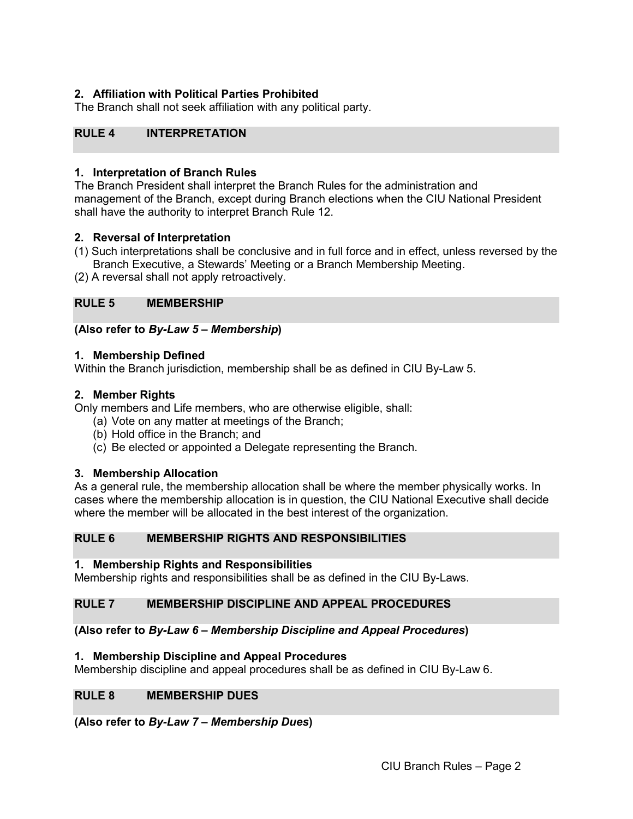# <span id="page-4-0"></span>**2. Affiliation with Political Parties Prohibited**

The Branch shall not seek affiliation with any political party.

# <span id="page-4-1"></span>**RULE 4 INTERPRETATION**

#### <span id="page-4-2"></span>**1. Interpretation of Branch Rules**

The Branch President shall interpret the Branch Rules for the administration and management of the Branch, except during Branch elections when the CIU National President shall have the authority to interpret Branch Rule 12.

#### <span id="page-4-3"></span>**2. Reversal of Interpretation**

(1) Such interpretations shall be conclusive and in full force and in effect, unless reversed by the Branch Executive, a Stewards' Meeting or a Branch Membership Meeting.

(2) A reversal shall not apply retroactively.

#### <span id="page-4-4"></span>**RULE 5 MEMBERSHIP**

#### **(Also refer to** *By-Law 5 – Membership***)**

#### <span id="page-4-5"></span>**1. Membership Defined**

Within the Branch jurisdiction, membership shall be as defined in CIU By-Law 5.

#### <span id="page-4-6"></span>**2. Member Rights**

Only members and Life members, who are otherwise eligible, shall:

- (a) Vote on any matter at meetings of the Branch;
- (b) Hold office in the Branch; and
- (c) Be elected or appointed a Delegate representing the Branch.

#### <span id="page-4-7"></span>**3. Membership Allocation**

As a general rule, the membership allocation shall be where the member physically works. In cases where the membership allocation is in question, the CIU National Executive shall decide where the member will be allocated in the best interest of the organization.

#### <span id="page-4-8"></span>**RULE 6 MEMBERSHIP RIGHTS AND RESPONSIBILITIES**

#### <span id="page-4-9"></span>**1. Membership Rights and Responsibilities**

Membership rights and responsibilities shall be as defined in the CIU By-Laws.

#### <span id="page-4-10"></span>**RULE 7 MEMBERSHIP DISCIPLINE AND APPEAL PROCEDURES**

#### **(Also refer to** *By-Law 6 – Membership Discipline and Appeal Procedures***)**

#### <span id="page-4-11"></span>**1. Membership Discipline and Appeal Procedures**

Membership discipline and appeal procedures shall be as defined in CIU By-Law 6.

#### <span id="page-4-12"></span>**RULE 8 MEMBERSHIP DUES**

**(Also refer to** *By-Law 7 – Membership Dues***)**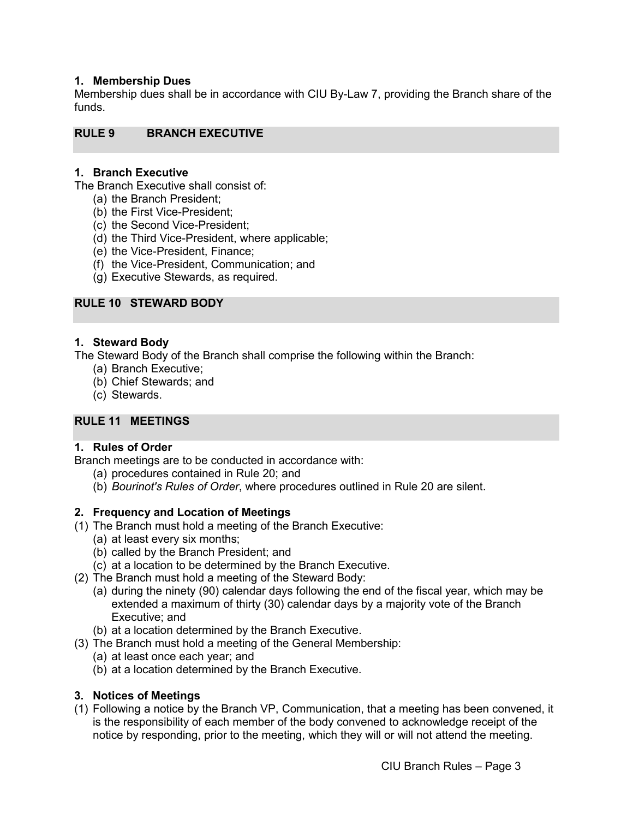#### <span id="page-5-0"></span>**1. Membership Dues**

Membership dues shall be in accordance with CIU By-Law 7, providing the Branch share of the funds.

#### <span id="page-5-1"></span>**RULE 9 BRANCH EXECUTIVE**

#### <span id="page-5-2"></span>**1. Branch Executive**

The Branch Executive shall consist of:

- (a) the Branch President;
- (b) the First Vice-President;
- (c) the Second Vice-President;
- (d) the Third Vice-President, where applicable;
- (e) the Vice-President, Finance;
- (f) the Vice-President, Communication; and
- (g) Executive Stewards, as required.

#### <span id="page-5-3"></span>**RULE 10 STEWARD BODY**

#### <span id="page-5-4"></span>**1. Steward Body**

The Steward Body of the Branch shall comprise the following within the Branch:

- (a) Branch Executive;
- (b) Chief Stewards; and
- (c) Stewards.

# <span id="page-5-5"></span>**RULE 11 MEETINGS**

### <span id="page-5-6"></span>**1. Rules of Order**

Branch meetings are to be conducted in accordance with:

- (a) procedures contained in Rule 20; and
- (b) *Bourinot's Rules of Order*, where procedures outlined in Rule 20 are silent.

#### <span id="page-5-7"></span>**2. Frequency and Location of Meetings**

- (1) The Branch must hold a meeting of the Branch Executive:
	- (a) at least every six months;
		- (b) called by the Branch President; and
	- (c) at a location to be determined by the Branch Executive.
- (2) The Branch must hold a meeting of the Steward Body:
	- (a) during the ninety (90) calendar days following the end of the fiscal year, which may be extended a maximum of thirty (30) calendar days by a majority vote of the Branch Executive; and
	- (b) at a location determined by the Branch Executive.
- (3) The Branch must hold a meeting of the General Membership:
	- (a) at least once each year; and
	- (b) at a location determined by the Branch Executive.

#### <span id="page-5-8"></span>**3. Notices of Meetings**

(1) Following a notice by the Branch VP, Communication, that a meeting has been convened, it is the responsibility of each member of the body convened to acknowledge receipt of the notice by responding, prior to the meeting, which they will or will not attend the meeting.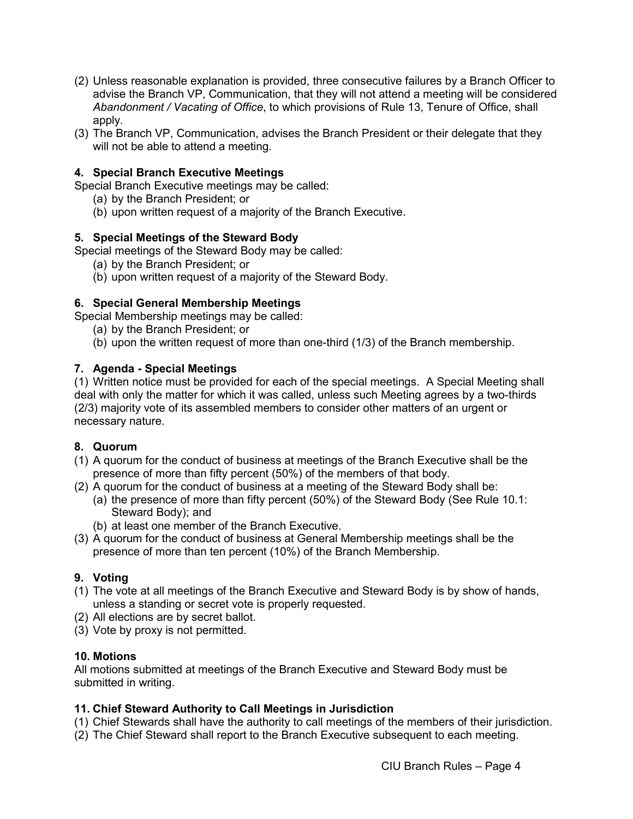- (2) Unless reasonable explanation is provided, three consecutive failures by a Branch Officer to advise the Branch VP, Communication, that they will not attend a meeting will be considered *Abandonment / Vacating of Office*, to which provisions of Rule 13, Tenure of Office, shall apply.
- (3) The Branch VP, Communication, advises the Branch President or their delegate that they will not be able to attend a meeting.

# <span id="page-6-0"></span>**4. Special Branch Executive Meetings**

Special Branch Executive meetings may be called:

- (a) by the Branch President; or
- (b) upon written request of a majority of the Branch Executive.

## <span id="page-6-1"></span>**5. Special Meetings of the Steward Body**

Special meetings of the Steward Body may be called:

- (a) by the Branch President; or
	- (b) upon written request of a majority of the Steward Body.

## <span id="page-6-2"></span>**6. Special General Membership Meetings**

Special Membership meetings may be called:

- (a) by the Branch President; or
- (b) upon the written request of more than one-third (1/3) of the Branch membership.

## <span id="page-6-3"></span>**7. Agenda - Special Meetings**

(1) Written notice must be provided for each of the special meetings. A Special Meeting shall deal with only the matter for which it was called, unless such Meeting agrees by a two-thirds (2/3) majority vote of its assembled members to consider other matters of an urgent or necessary nature.

#### <span id="page-6-4"></span>**8. Quorum**

- (1) A quorum for the conduct of business at meetings of the Branch Executive shall be the presence of more than fifty percent (50%) of the members of that body.
- (2) A quorum for the conduct of business at a meeting of the Steward Body shall be:
	- (a) the presence of more than fifty percent (50%) of the Steward Body (See Rule 10.1: Steward Body); and
	- (b) at least one member of the Branch Executive.
- (3) A quorum for the conduct of business at General Membership meetings shall be the presence of more than ten percent (10%) of the Branch Membership.

# <span id="page-6-5"></span>**9. Voting**

- (1) The vote at all meetings of the Branch Executive and Steward Body is by show of hands, unless a standing or secret vote is properly requested.
- (2) All elections are by secret ballot.
- (3) Vote by proxy is not permitted.

#### <span id="page-6-6"></span>**10. Motions**

All motions submitted at meetings of the Branch Executive and Steward Body must be submitted in writing.

#### <span id="page-6-7"></span>**11. Chief Steward Authority to Call Meetings in Jurisdiction**

- (1) Chief Stewards shall have the authority to call meetings of the members of their jurisdiction.
- (2) The Chief Steward shall report to the Branch Executive subsequent to each meeting.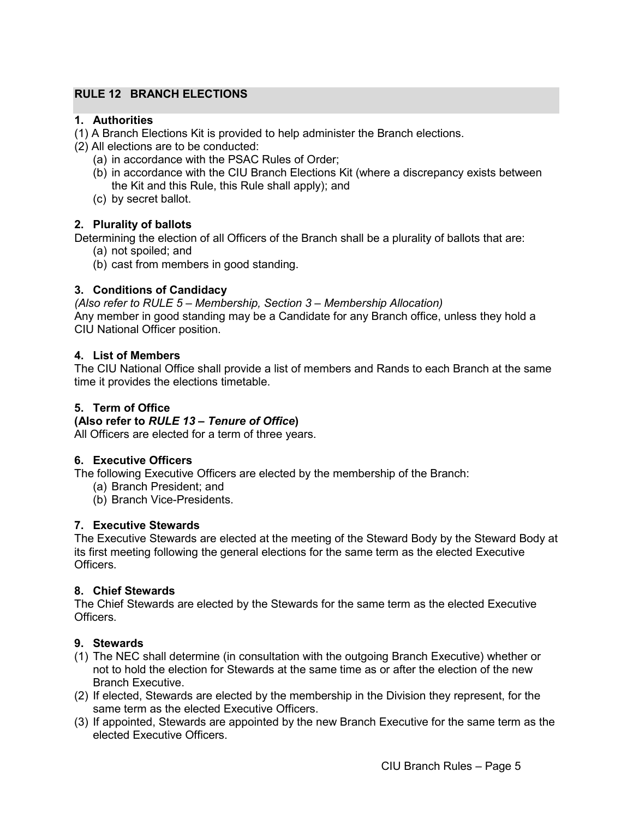# <span id="page-7-0"></span>**RULE 12 BRANCH ELECTIONS**

## <span id="page-7-1"></span>**1. Authorities**

- (1) A Branch Elections Kit is provided to help administer the Branch elections.
- (2) All elections are to be conducted:
	- (a) in accordance with the PSAC Rules of Order;
	- (b) in accordance with the CIU Branch Elections Kit (where a discrepancy exists between the Kit and this Rule, this Rule shall apply); and
	- (c) by secret ballot.

#### <span id="page-7-2"></span>**2. Plurality of ballots**

Determining the election of all Officers of the Branch shall be a plurality of ballots that are:

- (a) not spoiled; and
- (b) cast from members in good standing.

#### <span id="page-7-3"></span>**3. Conditions of Candidacy**

*(Also refer to RULE 5 – Membership, Section 3 – Membership Allocation)* Any member in good standing may be a Candidate for any Branch office, unless they hold a CIU National Officer position.

#### <span id="page-7-4"></span>**4. List of Members**

The CIU National Office shall provide a list of members and Rands to each Branch at the same time it provides the elections timetable.

#### <span id="page-7-5"></span>**5. Term of Office**

#### **(Also refer to** *RULE 13 – Tenure of Office***)**

All Officers are elected for a term of three years.

#### <span id="page-7-6"></span>**6. Executive Officers**

The following Executive Officers are elected by the membership of the Branch:

- (a) Branch President; and
- (b) Branch Vice-Presidents.

#### <span id="page-7-7"></span>**7. Executive Stewards**

The Executive Stewards are elected at the meeting of the Steward Body by the Steward Body at its first meeting following the general elections for the same term as the elected Executive Officers.

#### <span id="page-7-8"></span>**8. Chief Stewards**

The Chief Stewards are elected by the Stewards for the same term as the elected Executive Officers.

#### <span id="page-7-9"></span>**9. Stewards**

- (1) The NEC shall determine (in consultation with the outgoing Branch Executive) whether or not to hold the election for Stewards at the same time as or after the election of the new Branch Executive.
- (2) If elected, Stewards are elected by the membership in the Division they represent, for the same term as the elected Executive Officers.
- (3) If appointed, Stewards are appointed by the new Branch Executive for the same term as the elected Executive Officers.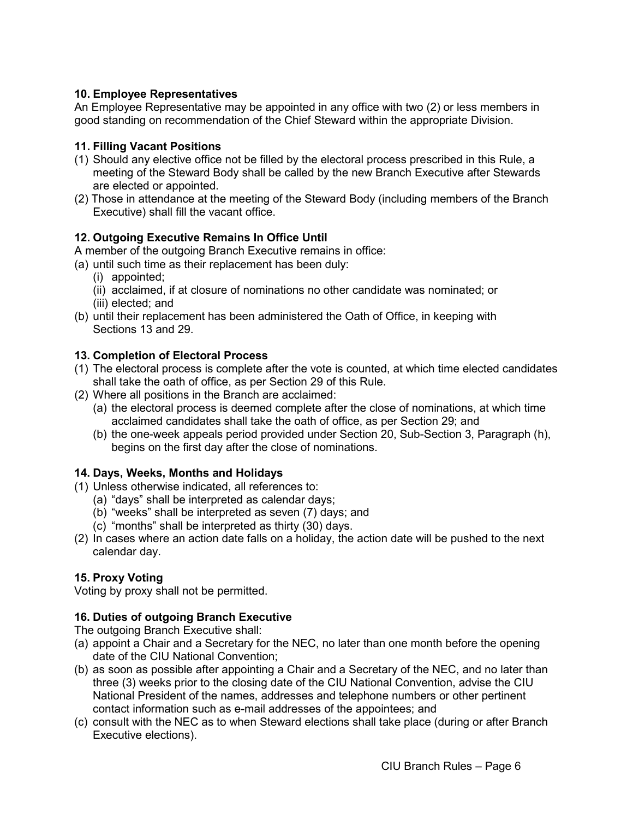# <span id="page-8-0"></span>**10. Employee Representatives**

An Employee Representative may be appointed in any office with two (2) or less members in good standing on recommendation of the Chief Steward within the appropriate Division.

# <span id="page-8-1"></span>**11. Filling Vacant Positions**

- (1) Should any elective office not be filled by the electoral process prescribed in this Rule, a meeting of the Steward Body shall be called by the new Branch Executive after Stewards are elected or appointed.
- (2) Those in attendance at the meeting of the Steward Body (including members of the Branch Executive) shall fill the vacant office.

# <span id="page-8-2"></span>**12. Outgoing Executive Remains In Office Until**

A member of the outgoing Branch Executive remains in office:

(a) until such time as their replacement has been duly:

- (i) appointed;
- (ii) acclaimed, if at closure of nominations no other candidate was nominated; or
- (iii) elected; and
- (b) until their replacement has been administered the Oath of Office, in keeping with Sections 13 and 29.

# <span id="page-8-3"></span>**13. Completion of Electoral Process**

- (1) The electoral process is complete after the vote is counted, at which time elected candidates shall take the oath of office, as per Section 29 of this Rule.
- (2) Where all positions in the Branch are acclaimed:
	- (a) the electoral process is deemed complete after the close of nominations, at which time acclaimed candidates shall take the oath of office, as per Section 29; and
	- (b) the one-week appeals period provided under Section 20, Sub-Section 3, Paragraph (h), begins on the first day after the close of nominations.

# **14. Days, Weeks, Months and Holidays**

- (1) Unless otherwise indicated, all references to:
	- (a) "days" shall be interpreted as calendar days;
	- (b) "weeks" shall be interpreted as seven (7) days; and
	- (c) "months" shall be interpreted as thirty (30) days.
- (2) In cases where an action date falls on a holiday, the action date will be pushed to the next calendar day.

# <span id="page-8-4"></span>**15. Proxy Voting**

Voting by proxy shall not be permitted.

# **16. Duties of outgoing Branch Executive**

The outgoing Branch Executive shall:

- (a) appoint a Chair and a Secretary for the NEC, no later than one month before the opening date of the CIU National Convention;
- (b) as soon as possible after appointing a Chair and a Secretary of the NEC, and no later than three (3) weeks prior to the closing date of the CIU National Convention, advise the CIU National President of the names, addresses and telephone numbers or other pertinent contact information such as e-mail addresses of the appointees; and
- (c) consult with the NEC as to when Steward elections shall take place (during or after Branch Executive elections).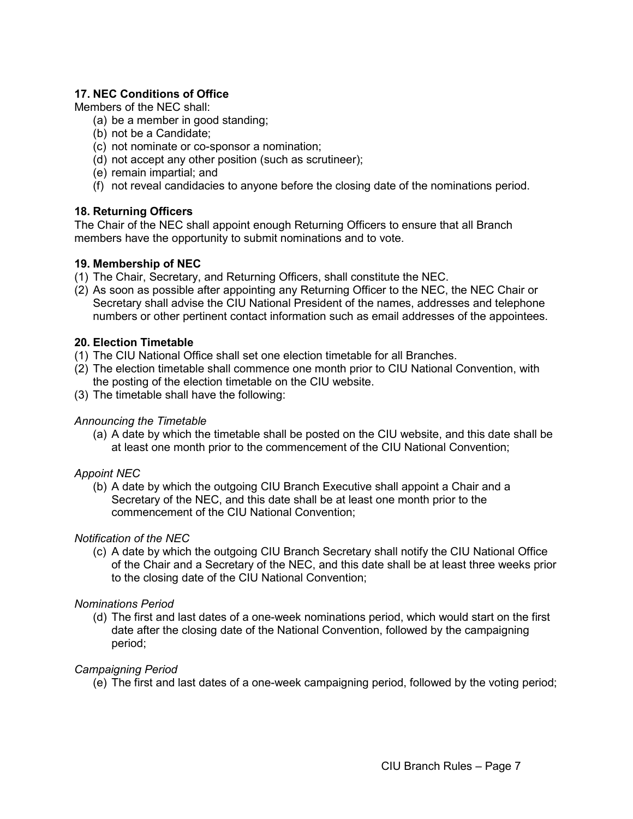# <span id="page-9-0"></span>**17. NEC Conditions of Office**

Members of the NEC shall:

- (a) be a member in good standing;
- (b) not be a Candidate;
- (c) not nominate or co-sponsor a nomination;
- (d) not accept any other position (such as scrutineer);
- (e) remain impartial; and
- (f) not reveal candidacies to anyone before the closing date of the nominations period.

## <span id="page-9-1"></span>**18. Returning Officers**

The Chair of the NEC shall appoint enough Returning Officers to ensure that all Branch members have the opportunity to submit nominations and to vote.

## **19. Membership of NEC**

- (1) The Chair, Secretary, and Returning Officers, shall constitute the NEC.
- (2) As soon as possible after appointing any Returning Officer to the NEC, the NEC Chair or Secretary shall advise the CIU National President of the names, addresses and telephone numbers or other pertinent contact information such as email addresses of the appointees.

#### <span id="page-9-2"></span>**20. Election Timetable**

- (1) The CIU National Office shall set one election timetable for all Branches.
- (2) The election timetable shall commence one month prior to CIU National Convention, with the posting of the election timetable on the CIU website.
- (3) The timetable shall have the following:

#### *Announcing the Timetable*

(a) A date by which the timetable shall be posted on the CIU website, and this date shall be at least one month prior to the commencement of the CIU National Convention;

#### *Appoint NEC*

(b) A date by which the outgoing CIU Branch Executive shall appoint a Chair and a Secretary of the NEC, and this date shall be at least one month prior to the commencement of the CIU National Convention;

# *Notification of the NEC*

(c) A date by which the outgoing CIU Branch Secretary shall notify the CIU National Office of the Chair and a Secretary of the NEC, and this date shall be at least three weeks prior to the closing date of the CIU National Convention;

#### *Nominations Period*

(d) The first and last dates of a one-week nominations period, which would start on the first date after the closing date of the National Convention, followed by the campaigning period;

# *Campaigning Period*

(e) The first and last dates of a one-week campaigning period, followed by the voting period;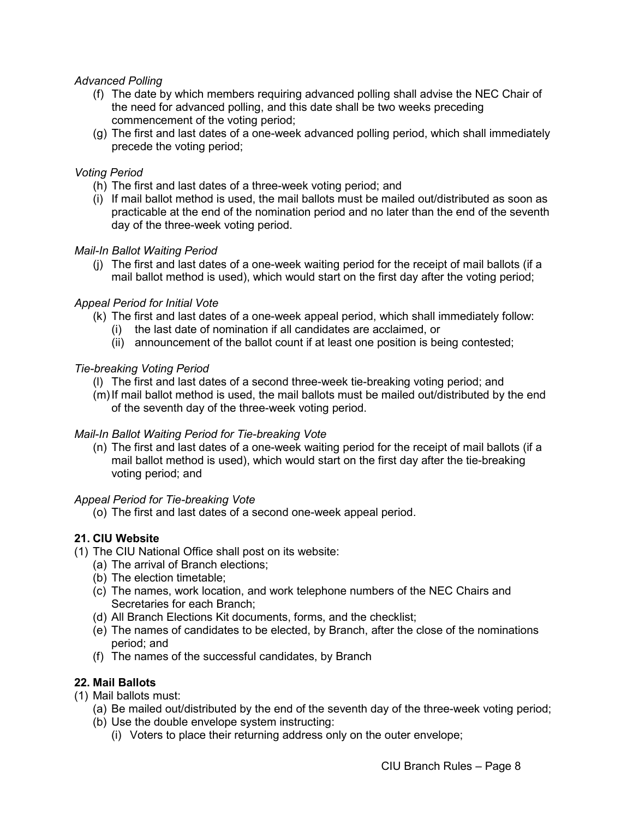### *Advanced Polling*

- (f) The date by which members requiring advanced polling shall advise the NEC Chair of the need for advanced polling, and this date shall be two weeks preceding commencement of the voting period;
- (g) The first and last dates of a one-week advanced polling period, which shall immediately precede the voting period;

### *Voting Period*

- (h) The first and last dates of a three-week voting period; and
- (i) If mail ballot method is used, the mail ballots must be mailed out/distributed as soon as practicable at the end of the nomination period and no later than the end of the seventh day of the three-week voting period.

## *Mail-In Ballot Waiting Period*

(j) The first and last dates of a one-week waiting period for the receipt of mail ballots (if a mail ballot method is used), which would start on the first day after the voting period;

## *Appeal Period for Initial Vote*

- (k) The first and last dates of a one-week appeal period, which shall immediately follow:
	- (i) the last date of nomination if all candidates are acclaimed, or
	- (ii) announcement of the ballot count if at least one position is being contested;

#### *Tie-breaking Voting Period*

- (l) The first and last dates of a second three-week tie-breaking voting period; and
- $(m)$  If mail ballot method is used, the mail ballots must be mailed out/distributed by the end of the seventh day of the three-week voting period.

#### *Mail-In Ballot Waiting Period for Tie-breaking Vote*

(n) The first and last dates of a one-week waiting period for the receipt of mail ballots (if a mail ballot method is used), which would start on the first day after the tie-breaking voting period; and

#### *Appeal Period for Tie-breaking Vote*

(o) The first and last dates of a second one-week appeal period.

# <span id="page-10-0"></span>**21. CIU Website**

- (1) The CIU National Office shall post on its website:
	- (a) The arrival of Branch elections;
	- (b) The election timetable;
	- (c) The names, work location, and work telephone numbers of the NEC Chairs and Secretaries for each Branch;
	- (d) All Branch Elections Kit documents, forms, and the checklist;
	- (e) The names of candidates to be elected, by Branch, after the close of the nominations period; and
	- (f) The names of the successful candidates, by Branch

# <span id="page-10-1"></span>**22. Mail Ballots**

- (1) Mail ballots must:
	- (a) Be mailed out/distributed by the end of the seventh day of the three-week voting period;
	- (b) Use the double envelope system instructing:
		- (i) Voters to place their returning address only on the outer envelope;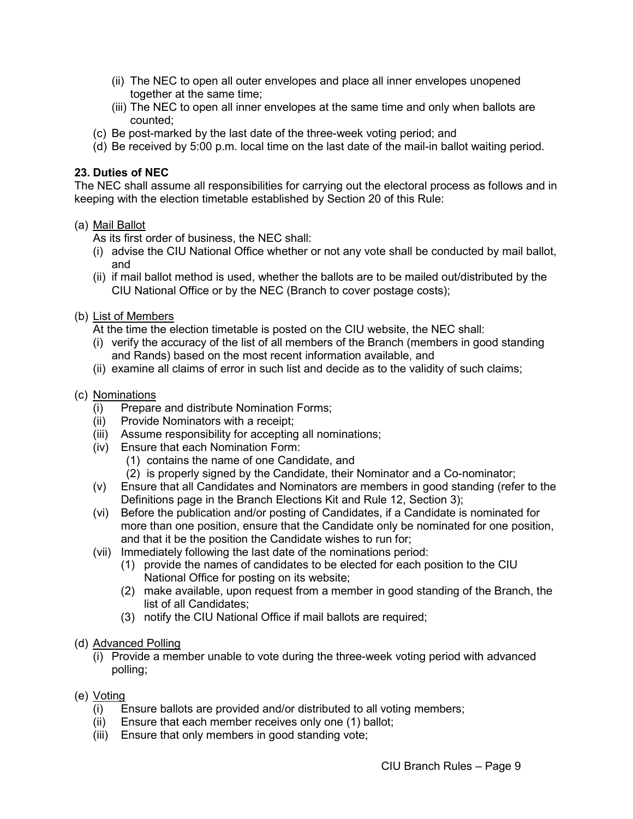- (ii) The NEC to open all outer envelopes and place all inner envelopes unopened together at the same time;
- (iii) The NEC to open all inner envelopes at the same time and only when ballots are counted;
- (c) Be post-marked by the last date of the three-week voting period; and
- (d) Be received by 5:00 p.m. local time on the last date of the mail-in ballot waiting period.

#### <span id="page-11-0"></span>**23. Duties of NEC**

The NEC shall assume all responsibilities for carrying out the electoral process as follows and in keeping with the election timetable established by Section 20 of this Rule:

#### (a) Mail Ballot

As its first order of business, the NEC shall:

- (i) advise the CIU National Office whether or not any vote shall be conducted by mail ballot, and
- (ii) if mail ballot method is used, whether the ballots are to be mailed out/distributed by the CIU National Office or by the NEC (Branch to cover postage costs);
- (b) List of Members

At the time the election timetable is posted on the CIU website, the NEC shall:

- (i) verify the accuracy of the list of all members of the Branch (members in good standing and Rands) based on the most recent information available, and
- (ii) examine all claims of error in such list and decide as to the validity of such claims;

#### (c) Nominations

- (i) Prepare and distribute Nomination Forms;
- (ii) Provide Nominators with a receipt;
- (iii) Assume responsibility for accepting all nominations;
- (iv) Ensure that each Nomination Form:
	- (1) contains the name of one Candidate, and
	- (2) is properly signed by the Candidate, their Nominator and a Co-nominator;
- (v) Ensure that all Candidates and Nominators are members in good standing (refer to the Definitions page in the Branch Elections Kit and Rule 12, Section 3);
- (vi) Before the publication and/or posting of Candidates, if a Candidate is nominated for more than one position, ensure that the Candidate only be nominated for one position, and that it be the position the Candidate wishes to run for;
- (vii) Immediately following the last date of the nominations period:
	- (1) provide the names of candidates to be elected for each position to the CIU National Office for posting on its website;
	- (2) make available, upon request from a member in good standing of the Branch, the list of all Candidates;
	- (3) notify the CIU National Office if mail ballots are required;
- (d) Advanced Polling
	- (i) Provide a member unable to vote during the three-week voting period with advanced polling;
- (e) Voting
	- (i) Ensure ballots are provided and/or distributed to all voting members;
	- (ii) Ensure that each member receives only one (1) ballot;
	- (iii) Ensure that only members in good standing vote;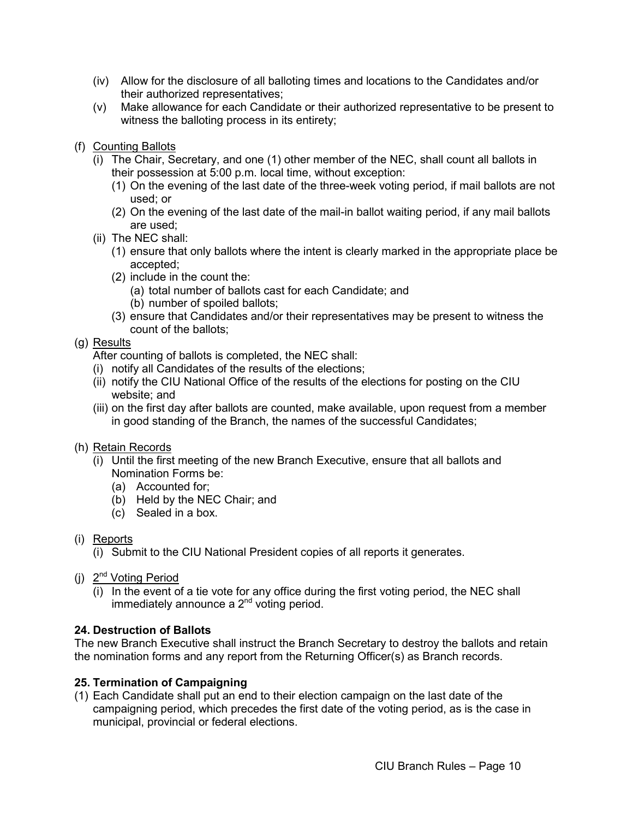- (iv) Allow for the disclosure of all balloting times and locations to the Candidates and/or their authorized representatives;
- (v) Make allowance for each Candidate or their authorized representative to be present to witness the balloting process in its entirety;
- (f) Counting Ballots
	- (i) The Chair, Secretary, and one (1) other member of the NEC, shall count all ballots in their possession at 5:00 p.m. local time, without exception:
		- (1) On the evening of the last date of the three-week voting period, if mail ballots are not used; or
		- (2) On the evening of the last date of the mail-in ballot waiting period, if any mail ballots are used;
	- (ii) The NEC shall:
		- (1) ensure that only ballots where the intent is clearly marked in the appropriate place be accepted;
		- (2) include in the count the:
			- (a) total number of ballots cast for each Candidate; and
			- (b) number of spoiled ballots;
		- (3) ensure that Candidates and/or their representatives may be present to witness the count of the ballots;

# (g) Results

- After counting of ballots is completed, the NEC shall:
- (i) notify all Candidates of the results of the elections;
- (ii) notify the CIU National Office of the results of the elections for posting on the CIU website; and
- (iii) on the first day after ballots are counted, make available, upon request from a member in good standing of the Branch, the names of the successful Candidates;
- (h) Retain Records
	- (i) Until the first meeting of the new Branch Executive, ensure that all ballots and Nomination Forms be:
		- (a) Accounted for;
		- (b) Held by the NEC Chair; and
		- (c) Sealed in a box.
- (i) Reports
	- (i) Submit to the CIU National President copies of all reports it generates.
- (i) 2<sup>nd</sup> Voting Period
	- (i) In the event of a tie vote for any office during the first voting period, the NEC shall immediately announce a  $2<sup>nd</sup>$  voting period.

# <span id="page-12-0"></span>**24. Destruction of Ballots**

The new Branch Executive shall instruct the Branch Secretary to destroy the ballots and retain the nomination forms and any report from the Returning Officer(s) as Branch records.

#### <span id="page-12-1"></span>**25. Termination of Campaigning**

(1) Each Candidate shall put an end to their election campaign on the last date of the campaigning period, which precedes the first date of the voting period, as is the case in municipal, provincial or federal elections.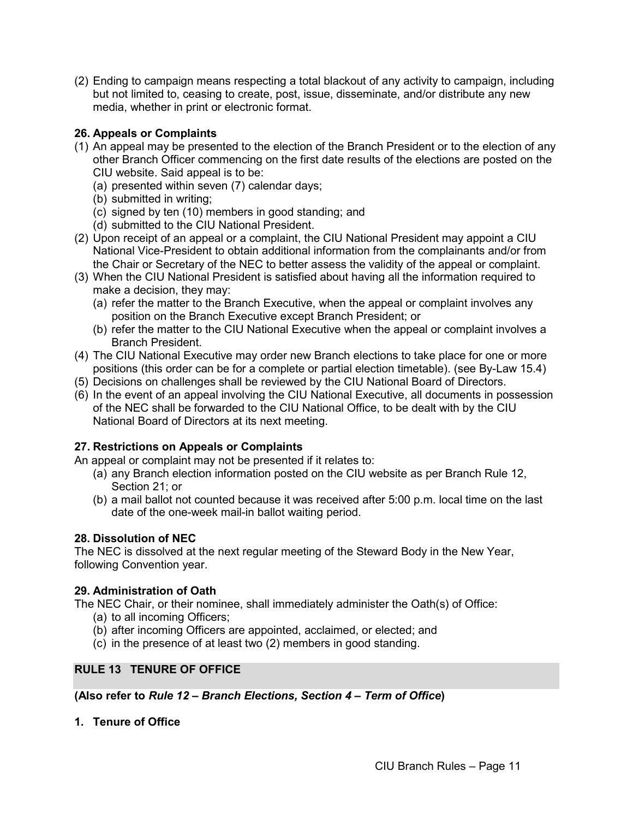(2) Ending to campaign means respecting a total blackout of any activity to campaign, including but not limited to, ceasing to create, post, issue, disseminate, and/or distribute any new media, whether in print or electronic format.

# <span id="page-13-0"></span>**26. Appeals or Complaints**

- (1) An appeal may be presented to the election of the Branch President or to the election of any other Branch Officer commencing on the first date results of the elections are posted on the CIU website. Said appeal is to be:
	- (a) presented within seven (7) calendar days;
	- (b) submitted in writing;
	- (c) signed by ten (10) members in good standing; and
	- (d) submitted to the CIU National President.
- (2) Upon receipt of an appeal or a complaint, the CIU National President may appoint a CIU National Vice-President to obtain additional information from the complainants and/or from the Chair or Secretary of the NEC to better assess the validity of the appeal or complaint.
- (3) When the CIU National President is satisfied about having all the information required to make a decision, they may:
	- (a) refer the matter to the Branch Executive, when the appeal or complaint involves any position on the Branch Executive except Branch President; or
	- (b) refer the matter to the CIU National Executive when the appeal or complaint involves a Branch President.
- (4) The CIU National Executive may order new Branch elections to take place for one or more positions (this order can be for a complete or partial election timetable). (see By-Law 15.4)
- (5) Decisions on challenges shall be reviewed by the CIU National Board of Directors.
- (6) In the event of an appeal involving the CIU National Executive, all documents in possession of the NEC shall be forwarded to the CIU National Office, to be dealt with by the CIU National Board of Directors at its next meeting.

# <span id="page-13-1"></span>**27. Restrictions on Appeals or Complaints**

An appeal or complaint may not be presented if it relates to:

- (a) any Branch election information posted on the CIU website as per Branch Rule 12, Section 21; or
- (b) a mail ballot not counted because it was received after 5:00 p.m. local time on the last date of the one-week mail-in ballot waiting period.

# <span id="page-13-2"></span>**28. Dissolution of NEC**

The NEC is dissolved at the next regular meeting of the Steward Body in the New Year, following Convention year.

# <span id="page-13-3"></span>**29. Administration of Oath**

The NEC Chair, or their nominee, shall immediately administer the Oath(s) of Office:

- (a) to all incoming Officers;
- (b) after incoming Officers are appointed, acclaimed, or elected; and
- (c) in the presence of at least two (2) members in good standing.

# <span id="page-13-4"></span>**RULE 13 TENURE OF OFFICE**

**(Also refer to** *Rule 12 – Branch Elections, Section 4 – Term of Office***)**

<span id="page-13-5"></span>**1. Tenure of Office**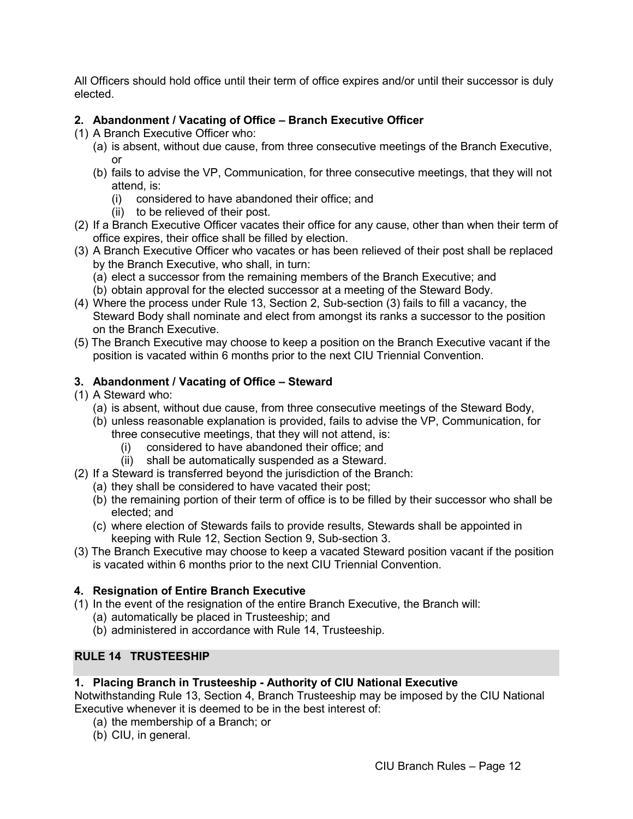All Officers should hold office until their term of office expires and/or until their successor is duly elected.

# <span id="page-14-0"></span>**2. Abandonment / Vacating of Office – Branch Executive Officer**

- (1) A Branch Executive Officer who:
	- (a) is absent, without due cause, from three consecutive meetings of the Branch Executive, or
	- (b) fails to advise the VP, Communication, for three consecutive meetings, that they will not attend, is:
		- (i) considered to have abandoned their office; and
		- (ii) to be relieved of their post.
- (2) If a Branch Executive Officer vacates their office for any cause, other than when their term of office expires, their office shall be filled by election.
- (3) A Branch Executive Officer who vacates or has been relieved of their post shall be replaced by the Branch Executive, who shall, in turn:
	- (a) elect a successor from the remaining members of the Branch Executive; and
	- (b) obtain approval for the elected successor at a meeting of the Steward Body.
- (4) Where the process under Rule 13, Section 2, Sub-section (3) fails to fill a vacancy, the Steward Body shall nominate and elect from amongst its ranks a successor to the position on the Branch Executive.
- (5) The Branch Executive may choose to keep a position on the Branch Executive vacant if the position is vacated within 6 months prior to the next CIU Triennial Convention.

# <span id="page-14-1"></span>**3. Abandonment / Vacating of Office – Steward**

- (1) A Steward who:
	- (a) is absent, without due cause, from three consecutive meetings of the Steward Body,
	- (b) unless reasonable explanation is provided, fails to advise the VP, Communication, for three consecutive meetings, that they will not attend, is:
		- (i) considered to have abandoned their office; and
		- (ii) shall be automatically suspended as a Steward.
- (2) If a Steward is transferred beyond the jurisdiction of the Branch:
	- (a) they shall be considered to have vacated their post;
		- (b) the remaining portion of their term of office is to be filled by their successor who shall be elected; and
	- (c) where election of Stewards fails to provide results, Stewards shall be appointed in keeping with Rule 12, Section Section 9, Sub-section 3.
- (3) The Branch Executive may choose to keep a vacated Steward position vacant if the position is vacated within 6 months prior to the next CIU Triennial Convention.

# <span id="page-14-2"></span>**4. Resignation of Entire Branch Executive**

- (1) In the event of the resignation of the entire Branch Executive, the Branch will:
	- (a) automatically be placed in Trusteeship; and
	- (b) administered in accordance with Rule 14, Trusteeship.

# <span id="page-14-3"></span>**RULE 14 TRUSTEESHIP**

# <span id="page-14-4"></span>**1. Placing Branch in Trusteeship - Authority of CIU National Executive**

Notwithstanding Rule 13, Section 4, Branch Trusteeship may be imposed by the CIU National Executive whenever it is deemed to be in the best interest of:

- (a) the membership of a Branch; or
- (b) CIU, in general.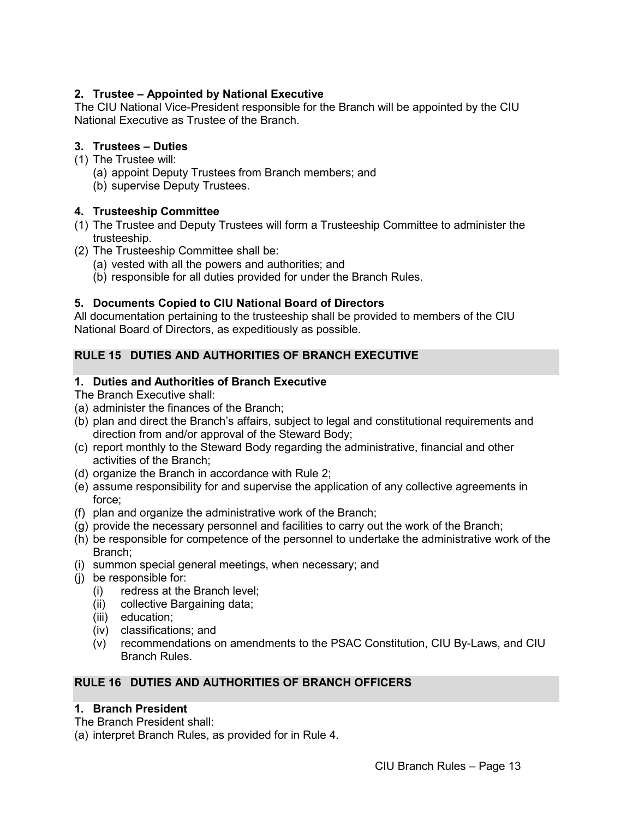# <span id="page-15-0"></span>**2. Trustee – Appointed by National Executive**

The CIU National Vice-President responsible for the Branch will be appointed by the CIU National Executive as Trustee of the Branch.

# <span id="page-15-1"></span>**3. Trustees – Duties**

- (1) The Trustee will:
	- (a) appoint Deputy Trustees from Branch members; and
	- (b) supervise Deputy Trustees.

# <span id="page-15-2"></span>**4. Trusteeship Committee**

- (1) The Trustee and Deputy Trustees will form a Trusteeship Committee to administer the trusteeship.
- (2) The Trusteeship Committee shall be:
	- (a) vested with all the powers and authorities; and
	- (b) responsible for all duties provided for under the Branch Rules.

# <span id="page-15-3"></span>**5. Documents Copied to CIU National Board of Directors**

All documentation pertaining to the trusteeship shall be provided to members of the CIU National Board of Directors, as expeditiously as possible.

# <span id="page-15-4"></span>**RULE 15 DUTIES AND AUTHORITIES OF BRANCH EXECUTIVE**

# <span id="page-15-5"></span>**1. Duties and Authorities of Branch Executive**

The Branch Executive shall:

- (a) administer the finances of the Branch;
- (b) plan and direct the Branch's affairs, subject to legal and constitutional requirements and direction from and/or approval of the Steward Body;
- (c) report monthly to the Steward Body regarding the administrative, financial and other activities of the Branch;
- (d) organize the Branch in accordance with Rule 2;
- (e) assume responsibility for and supervise the application of any collective agreements in force;
- (f) plan and organize the administrative work of the Branch;
- (g) provide the necessary personnel and facilities to carry out the work of the Branch;
- (h) be responsible for competence of the personnel to undertake the administrative work of the Branch;
- (i) summon special general meetings, when necessary; and
- (j) be responsible for:
	- (i) redress at the Branch level;
	- (ii) collective Bargaining data;
	- (iii) education;
	- (iv) classifications; and
	- (v) recommendations on amendments to the PSAC Constitution, CIU By-Laws, and CIU Branch Rules.

# <span id="page-15-6"></span>**RULE 16 DUTIES AND AUTHORITIES OF BRANCH OFFICERS**

# <span id="page-15-7"></span>**1. Branch President**

The Branch President shall:

(a) interpret Branch Rules, as provided for in Rule 4.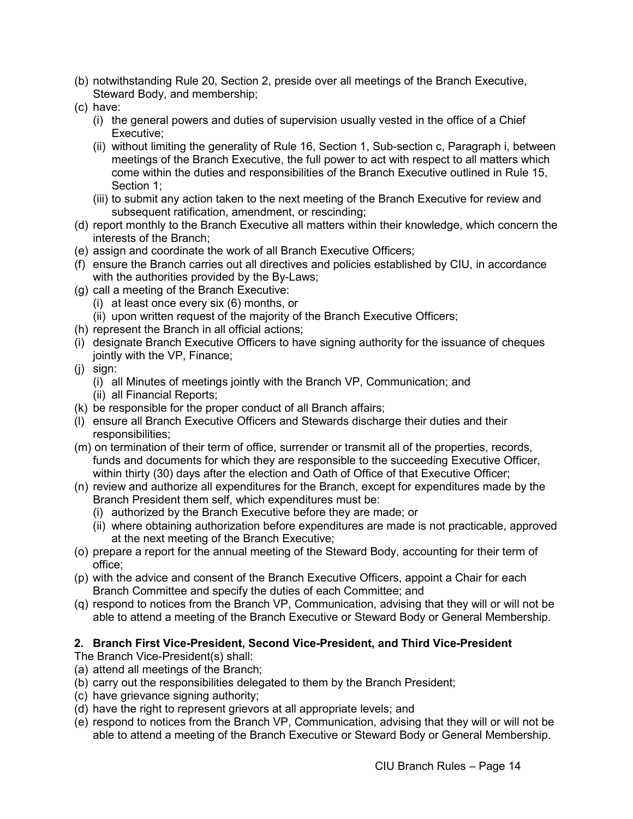- (b) notwithstanding Rule 20, Section 2, preside over all meetings of the Branch Executive, Steward Body, and membership;
- (c) have:
	- (i) the general powers and duties of supervision usually vested in the office of a Chief Executive;
	- (ii) without limiting the generality of Rule 16, Section 1, Sub-section c, Paragraph i, between meetings of the Branch Executive, the full power to act with respect to all matters which come within the duties and responsibilities of the Branch Executive outlined in Rule 15, Section 1;
	- (iii) to submit any action taken to the next meeting of the Branch Executive for review and subsequent ratification, amendment, or rescinding;
- (d) report monthly to the Branch Executive all matters within their knowledge, which concern the interests of the Branch;
- (e) assign and coordinate the work of all Branch Executive Officers;
- (f) ensure the Branch carries out all directives and policies established by CIU, in accordance with the authorities provided by the By-Laws;
- (g) call a meeting of the Branch Executive:
	- (i) at least once every six (6) months, or
	- (ii) upon written request of the majority of the Branch Executive Officers;
- (h) represent the Branch in all official actions;
- (i) designate Branch Executive Officers to have signing authority for the issuance of cheques jointly with the VP, Finance;
- (j) sign:
	- (i) all Minutes of meetings jointly with the Branch VP, Communication; and
	- (ii) all Financial Reports;
- (k) be responsible for the proper conduct of all Branch affairs;
- (l) ensure all Branch Executive Officers and Stewards discharge their duties and their responsibilities;
- (m) on termination of their term of office, surrender or transmit all of the properties, records, funds and documents for which they are responsible to the succeeding Executive Officer, within thirty (30) days after the election and Oath of Office of that Executive Officer;
- (n) review and authorize all expenditures for the Branch, except for expenditures made by the Branch President them self, which expenditures must be:
	- (i) authorized by the Branch Executive before they are made; or
	- (ii) where obtaining authorization before expenditures are made is not practicable, approved at the next meeting of the Branch Executive;
- (o) prepare a report for the annual meeting of the Steward Body, accounting for their term of office;
- (p) with the advice and consent of the Branch Executive Officers, appoint a Chair for each Branch Committee and specify the duties of each Committee; and
- (q) respond to notices from the Branch VP, Communication, advising that they will or will not be able to attend a meeting of the Branch Executive or Steward Body or General Membership.

# <span id="page-16-0"></span>**2. Branch First Vice-President, Second Vice-President, and Third Vice-President**

The Branch Vice-President(s) shall:

- (a) attend all meetings of the Branch;
- (b) carry out the responsibilities delegated to them by the Branch President;
- (c) have grievance signing authority;
- (d) have the right to represent grievors at all appropriate levels; and
- (e) respond to notices from the Branch VP, Communication, advising that they will or will not be able to attend a meeting of the Branch Executive or Steward Body or General Membership.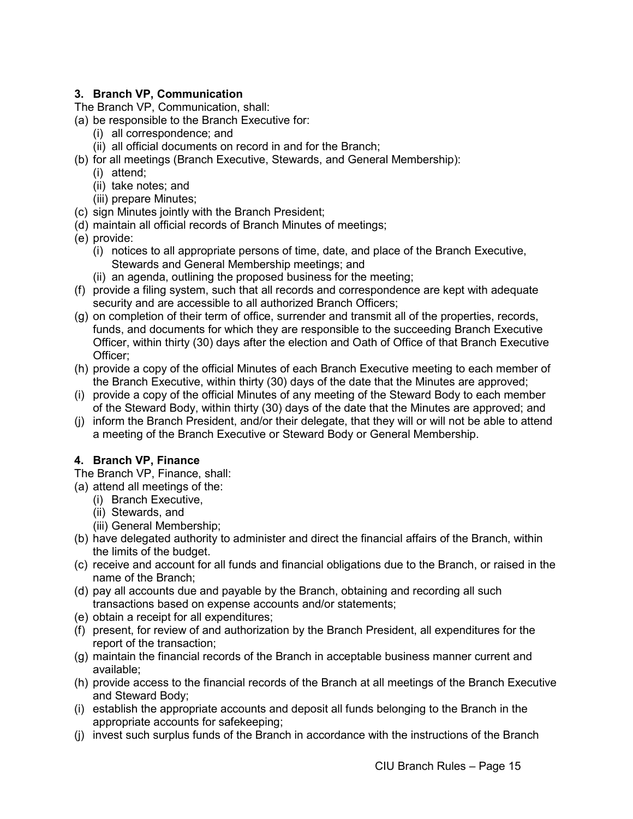# <span id="page-17-0"></span>**3. Branch VP, Communication**

The Branch VP, Communication, shall:

- (a) be responsible to the Branch Executive for:
	- (i) all correspondence; and
	- (ii) all official documents on record in and for the Branch;
- (b) for all meetings (Branch Executive, Stewards, and General Membership):
	- (i) attend;
	- (ii) take notes; and
	- (iii) prepare Minutes;
- (c) sign Minutes jointly with the Branch President;
- (d) maintain all official records of Branch Minutes of meetings;
- (e) provide:
	- (i) notices to all appropriate persons of time, date, and place of the Branch Executive, Stewards and General Membership meetings; and
	- (ii) an agenda, outlining the proposed business for the meeting;
- (f) provide a filing system, such that all records and correspondence are kept with adequate security and are accessible to all authorized Branch Officers;
- (g) on completion of their term of office, surrender and transmit all of the properties, records, funds, and documents for which they are responsible to the succeeding Branch Executive Officer, within thirty (30) days after the election and Oath of Office of that Branch Executive Officer;
- (h) provide a copy of the official Minutes of each Branch Executive meeting to each member of the Branch Executive, within thirty (30) days of the date that the Minutes are approved;
- (i) provide a copy of the official Minutes of any meeting of the Steward Body to each member of the Steward Body, within thirty (30) days of the date that the Minutes are approved; and
- (j) inform the Branch President, and/or their delegate, that they will or will not be able to attend a meeting of the Branch Executive or Steward Body or General Membership.

# <span id="page-17-1"></span>**4. Branch VP, Finance**

- The Branch VP, Finance, shall:
- (a) attend all meetings of the:
	- (i) Branch Executive,
	- (ii) Stewards, and
	- (iii) General Membership;
- (b) have delegated authority to administer and direct the financial affairs of the Branch, within the limits of the budget.
- (c) receive and account for all funds and financial obligations due to the Branch, or raised in the name of the Branch;
- (d) pay all accounts due and payable by the Branch, obtaining and recording all such transactions based on expense accounts and/or statements;
- (e) obtain a receipt for all expenditures;
- (f) present, for review of and authorization by the Branch President, all expenditures for the report of the transaction;
- (g) maintain the financial records of the Branch in acceptable business manner current and available;
- (h) provide access to the financial records of the Branch at all meetings of the Branch Executive and Steward Body;
- (i) establish the appropriate accounts and deposit all funds belonging to the Branch in the appropriate accounts for safekeeping;
- (j) invest such surplus funds of the Branch in accordance with the instructions of the Branch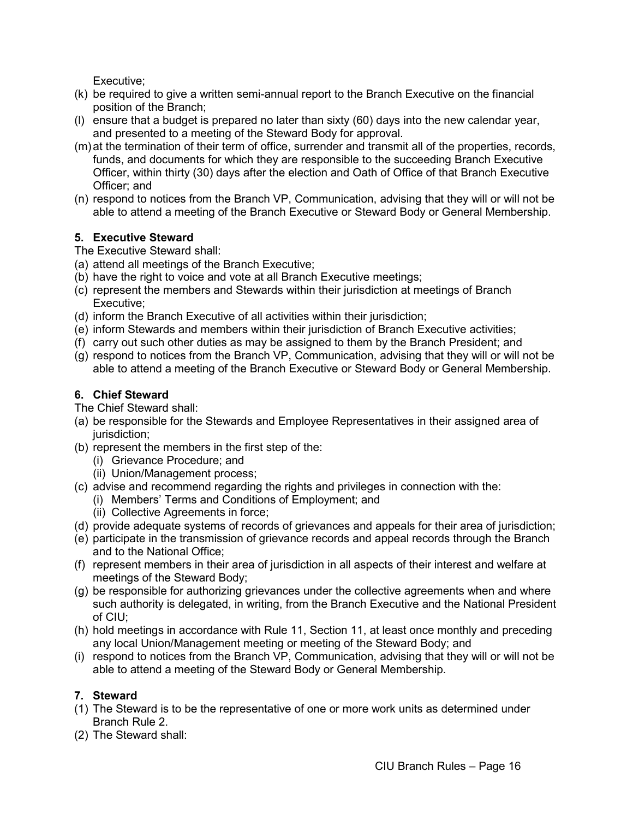Executive;

- (k) be required to give a written semi-annual report to the Branch Executive on the financial position of the Branch;
- (l) ensure that a budget is prepared no later than sixty (60) days into the new calendar year, and presented to a meeting of the Steward Body for approval.
- (m)at the termination of their term of office, surrender and transmit all of the properties, records, funds, and documents for which they are responsible to the succeeding Branch Executive Officer, within thirty (30) days after the election and Oath of Office of that Branch Executive Officer; and
- (n) respond to notices from the Branch VP, Communication, advising that they will or will not be able to attend a meeting of the Branch Executive or Steward Body or General Membership.

# <span id="page-18-0"></span>**5. Executive Steward**

- The Executive Steward shall:
- (a) attend all meetings of the Branch Executive;
- (b) have the right to voice and vote at all Branch Executive meetings;
- (c) represent the members and Stewards within their jurisdiction at meetings of Branch Executive;
- (d) inform the Branch Executive of all activities within their jurisdiction;
- (e) inform Stewards and members within their jurisdiction of Branch Executive activities;
- (f) carry out such other duties as may be assigned to them by the Branch President; and
- (g) respond to notices from the Branch VP, Communication, advising that they will or will not be able to attend a meeting of the Branch Executive or Steward Body or General Membership.

# <span id="page-18-1"></span>**6. Chief Steward**

The Chief Steward shall:

- (a) be responsible for the Stewards and Employee Representatives in their assigned area of jurisdiction:
- (b) represent the members in the first step of the:
	- (i) Grievance Procedure; and
	- (ii) Union/Management process;
- (c) advise and recommend regarding the rights and privileges in connection with the:
	- (i) Members' Terms and Conditions of Employment; and
	- (ii) Collective Agreements in force;
- (d) provide adequate systems of records of grievances and appeals for their area of jurisdiction;
- (e) participate in the transmission of grievance records and appeal records through the Branch and to the National Office;
- (f) represent members in their area of jurisdiction in all aspects of their interest and welfare at meetings of the Steward Body;
- (g) be responsible for authorizing grievances under the collective agreements when and where such authority is delegated, in writing, from the Branch Executive and the National President of CIU;
- (h) hold meetings in accordance with Rule 11, Section 11, at least once monthly and preceding any local Union/Management meeting or meeting of the Steward Body; and
- (i) respond to notices from the Branch VP, Communication, advising that they will or will not be able to attend a meeting of the Steward Body or General Membership.

# <span id="page-18-2"></span>**7. Steward**

- (1) The Steward is to be the representative of one or more work units as determined under Branch Rule 2.
- (2) The Steward shall: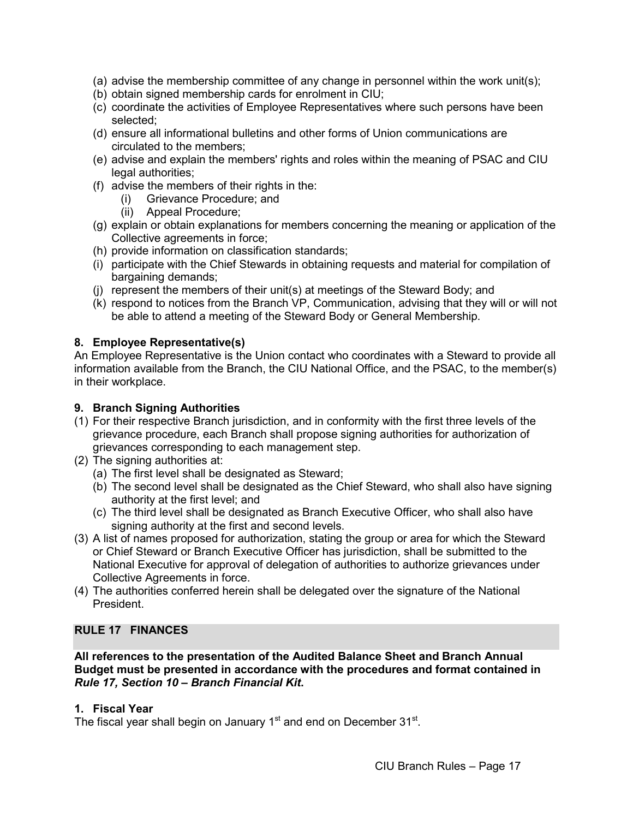- (a) advise the membership committee of any change in personnel within the work unit(s);
- (b) obtain signed membership cards for enrolment in CIU;
- (c) coordinate the activities of Employee Representatives where such persons have been selected;
- (d) ensure all informational bulletins and other forms of Union communications are circulated to the members;
- (e) advise and explain the members' rights and roles within the meaning of PSAC and CIU legal authorities;
- (f) advise the members of their rights in the:
	- (i) Grievance Procedure; and
	- (ii) Appeal Procedure;
- (g) explain or obtain explanations for members concerning the meaning or application of the Collective agreements in force;
- (h) provide information on classification standards;
- (i) participate with the Chief Stewards in obtaining requests and material for compilation of bargaining demands;
- (j) represent the members of their unit(s) at meetings of the Steward Body; and
- (k) respond to notices from the Branch VP, Communication, advising that they will or will not be able to attend a meeting of the Steward Body or General Membership.

#### <span id="page-19-0"></span>**8. Employee Representative(s)**

An Employee Representative is the Union contact who coordinates with a Steward to provide all information available from the Branch, the CIU National Office, and the PSAC, to the member(s) in their workplace.

#### <span id="page-19-1"></span>**9. Branch Signing Authorities**

- (1) For their respective Branch jurisdiction, and in conformity with the first three levels of the grievance procedure, each Branch shall propose signing authorities for authorization of grievances corresponding to each management step.
- (2) The signing authorities at:
	- (a) The first level shall be designated as Steward;
	- (b) The second level shall be designated as the Chief Steward, who shall also have signing authority at the first level; and
	- (c) The third level shall be designated as Branch Executive Officer, who shall also have signing authority at the first and second levels.
- (3) A list of names proposed for authorization, stating the group or area for which the Steward or Chief Steward or Branch Executive Officer has jurisdiction, shall be submitted to the National Executive for approval of delegation of authorities to authorize grievances under Collective Agreements in force.
- (4) The authorities conferred herein shall be delegated over the signature of the National President.

#### <span id="page-19-2"></span>**RULE 17 FINANCES**

**All references to the presentation of the Audited Balance Sheet and Branch Annual Budget must be presented in accordance with the procedures and format contained in**  *Rule 17, Section 10 – Branch Financial Kit***.** 

#### <span id="page-19-3"></span>**1. Fiscal Year**

The fiscal year shall begin on January  $1<sup>st</sup>$  and end on December  $31<sup>st</sup>$ .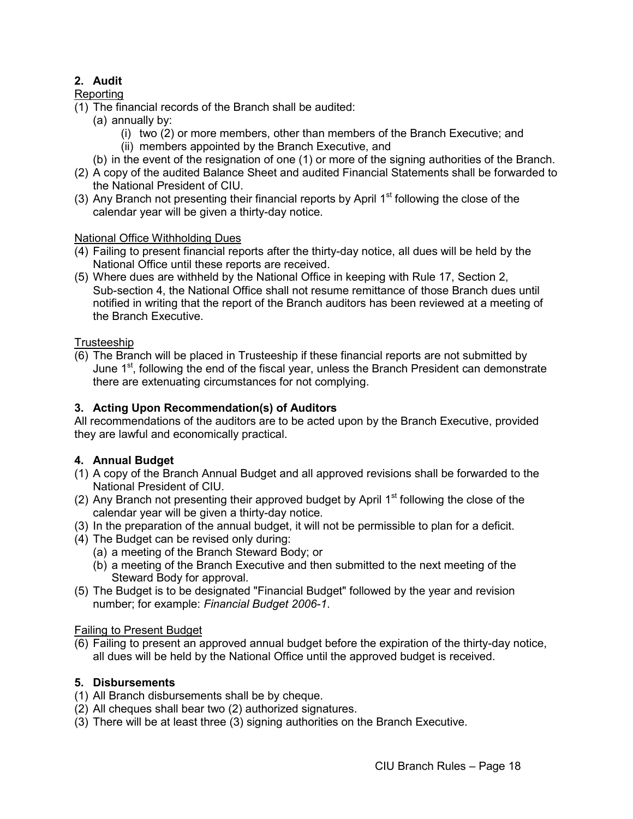# <span id="page-20-0"></span>**2. Audit**

# Reporting

- (1) The financial records of the Branch shall be audited:
	- (a) annually by:
		- (i) two (2) or more members, other than members of the Branch Executive; and
		- (ii) members appointed by the Branch Executive, and
	- (b) in the event of the resignation of one (1) or more of the signing authorities of the Branch.
- (2) A copy of the audited Balance Sheet and audited Financial Statements shall be forwarded to the National President of CIU.
- (3) Any Branch not presenting their financial reports by April  $1<sup>st</sup>$  following the close of the calendar year will be given a thirty-day notice.

# National Office Withholding Dues

- (4) Failing to present financial reports after the thirty-day notice, all dues will be held by the National Office until these reports are received.
- (5) Where dues are withheld by the National Office in keeping with Rule 17, Section 2, Sub-section 4, the National Office shall not resume remittance of those Branch dues until notified in writing that the report of the Branch auditors has been reviewed at a meeting of the Branch Executive.

# **Trusteeship**

(6) The Branch will be placed in Trusteeship if these financial reports are not submitted by June  $1<sup>st</sup>$ , following the end of the fiscal year, unless the Branch President can demonstrate there are extenuating circumstances for not complying.

# <span id="page-20-1"></span>**3. Acting Upon Recommendation(s) of Auditors**

All recommendations of the auditors are to be acted upon by the Branch Executive, provided they are lawful and economically practical.

# <span id="page-20-2"></span>**4. Annual Budget**

- (1) A copy of the Branch Annual Budget and all approved revisions shall be forwarded to the National President of CIU.
- (2) Any Branch not presenting their approved budget by April  $1<sup>st</sup>$  following the close of the calendar year will be given a thirty-day notice.
- (3) In the preparation of the annual budget, it will not be permissible to plan for a deficit.
- (4) The Budget can be revised only during:
	- (a) a meeting of the Branch Steward Body; or
	- (b) a meeting of the Branch Executive and then submitted to the next meeting of the Steward Body for approval.
- (5) The Budget is to be designated "Financial Budget" followed by the year and revision number; for example: *Financial Budget 2006-1*.

# Failing to Present Budget

(6) Failing to present an approved annual budget before the expiration of the thirty-day notice, all dues will be held by the National Office until the approved budget is received.

# <span id="page-20-3"></span>**5. Disbursements**

- (1) All Branch disbursements shall be by cheque.
- (2) All cheques shall bear two (2) authorized signatures.
- (3) There will be at least three (3) signing authorities on the Branch Executive.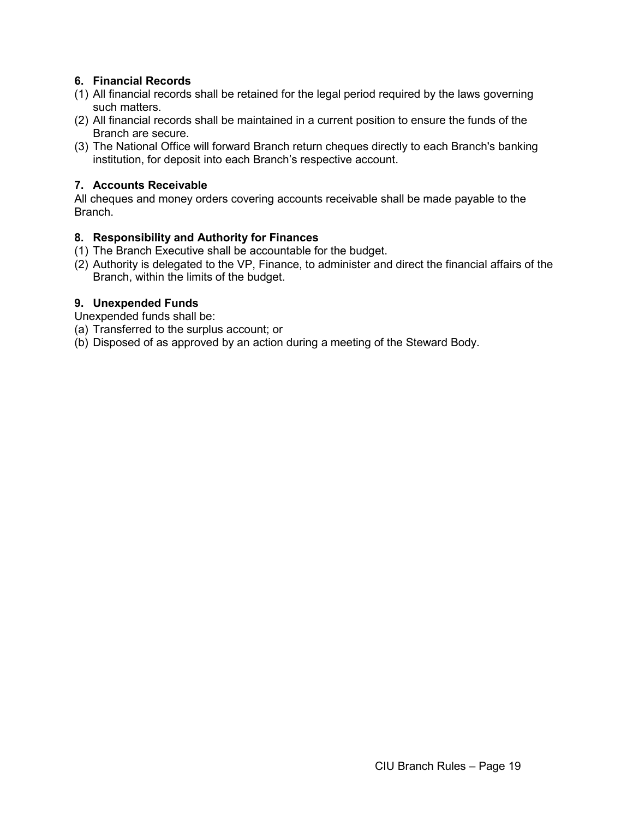# <span id="page-21-0"></span>**6. Financial Records**

- (1) All financial records shall be retained for the legal period required by the laws governing such matters.
- (2) All financial records shall be maintained in a current position to ensure the funds of the Branch are secure.
- (3) The National Office will forward Branch return cheques directly to each Branch's banking institution, for deposit into each Branch's respective account.

# <span id="page-21-1"></span>**7. Accounts Receivable**

All cheques and money orders covering accounts receivable shall be made payable to the Branch.

## <span id="page-21-2"></span>**8. Responsibility and Authority for Finances**

- (1) The Branch Executive shall be accountable for the budget.
- (2) Authority is delegated to the VP, Finance, to administer and direct the financial affairs of the Branch, within the limits of the budget.

## <span id="page-21-3"></span>**9. Unexpended Funds**

Unexpended funds shall be:

- (a) Transferred to the surplus account; or
- (b) Disposed of as approved by an action during a meeting of the Steward Body.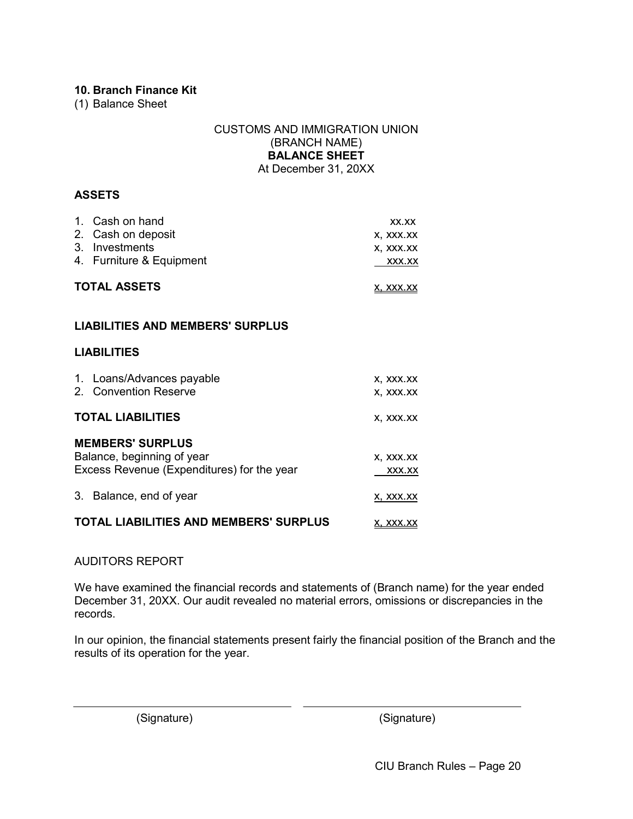## <span id="page-22-0"></span>**10. Branch Finance Kit**

<span id="page-22-1"></span>(1) Balance Sheet

#### CUSTOMS AND IMMIGRATION UNION (BRANCH NAME) **BALANCE SHEET** At December 31, 20XX

#### **ASSETS**

| 1. Cash on hand          | XX.XX            |
|--------------------------|------------------|
| 2. Cash on deposit       | X, XXX.XX        |
| 3. Investments           | X, XXX.XX        |
| 4. Furniture & Equipment | XXX.XX           |
| <b>TOTAL ASSETS</b>      | <u>X, XXX.XX</u> |

#### **LIABILITIES AND MEMBERS' SURPLUS**

#### **LIABILITIES**

| 1. Loans/Advances payable<br>2. Convention Reserve                                                  | X, XXX.XX<br>X, XXX.XX |
|-----------------------------------------------------------------------------------------------------|------------------------|
| <b>TOTAL LIABILITIES</b>                                                                            | X, XXX.XX              |
| <b>MEMBERS' SURPLUS</b><br>Balance, beginning of year<br>Excess Revenue (Expenditures) for the year | X, XXX.XX<br>XXX.XX    |
| 3.<br>Balance, end of year                                                                          | X, XXX.XX              |
| <b>TOTAL LIABILITIES AND MEMBERS' SURPLUS</b>                                                       | x. xxx.xx              |

#### AUDITORS REPORT

We have examined the financial records and statements of (Branch name) for the year ended December 31, 20XX. Our audit revealed no material errors, omissions or discrepancies in the records.

In our opinion, the financial statements present fairly the financial position of the Branch and the results of its operation for the year.

(Signature) (Signature)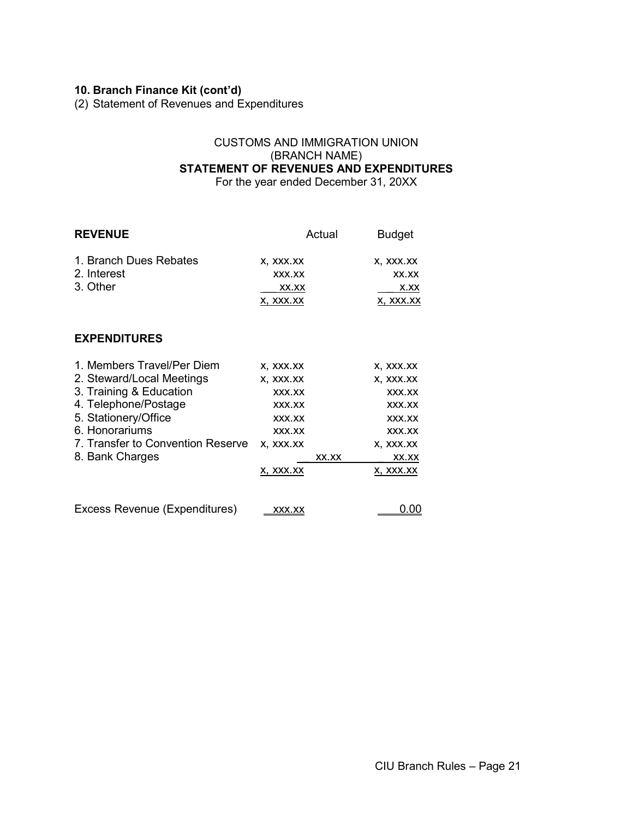# **10. Branch Finance Kit (cont'd)**

<span id="page-23-0"></span>(2) Statement of Revenues and Expenditures

#### CUSTOMS AND IMMIGRATION UNION (BRANCH NAME) **STATEMENT OF REVENUES AND EXPENDITURES** For the year ended December 31, 20XX

| <b>REVENUE</b>                    |                  | Actual | <b>Budget</b> |
|-----------------------------------|------------------|--------|---------------|
| 1. Branch Dues Rebates            | X, XXX.XX        |        | X, XXX.XX     |
| 2. Interest                       | XXX.XX           |        | XX.XX         |
| 3. Other                          | XX.XX            |        | <u>X.XX</u>   |
|                                   | <u>x, xxx.xx</u> |        | X, XXX.XX     |
| <b>EXPENDITURES</b>               |                  |        |               |
| 1. Members Travel/Per Diem        | X, XXX.XX        |        | X, XXX.XX     |
| 2. Steward/Local Meetings         | X, XXX.XX        |        | X, XXX.XX     |
| 3. Training & Education           | XXX.XX           |        | XXX.XX        |
| 4. Telephone/Postage              | XXX.XX           |        | XXX.XX        |
| 5. Stationery/Office              | XXX.XX           |        | XXX.XX        |
| 6. Honorariums                    | XXX.XX           |        | XXX.XX        |
| 7. Transfer to Convention Reserve | X, XXX.XX        |        | X, XXX.XX     |
| 8. Bank Charges                   |                  | XX.XX  | XX.XX         |
|                                   | X, XXX.XX        |        | X, XXX.XX     |
| Excess Revenue (Expenditures)     | XXX.XX           |        | 0.00          |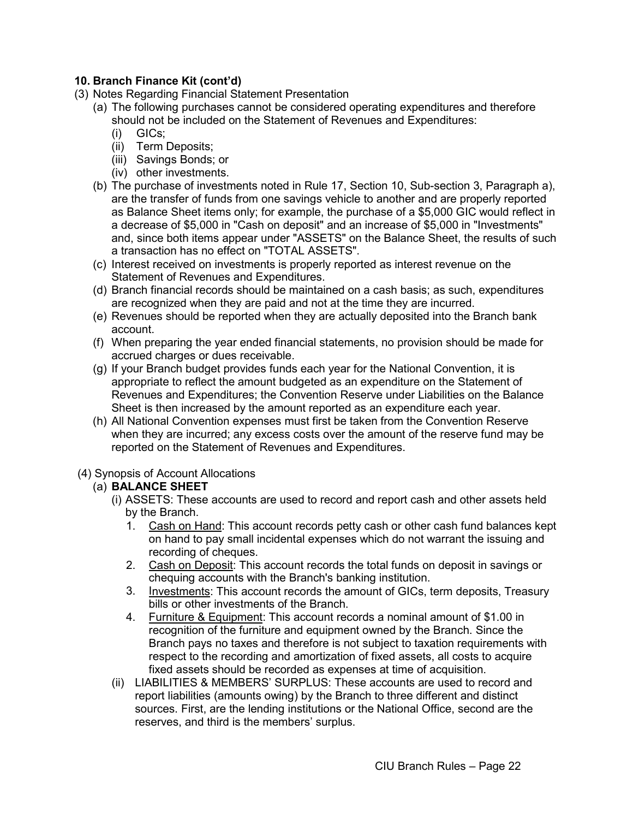# **10. Branch Finance Kit (cont'd)**

- <span id="page-24-0"></span>(3) Notes Regarding Financial Statement Presentation
	- (a) The following purchases cannot be considered operating expenditures and therefore should not be included on the Statement of Revenues and Expenditures:
		- (i) GICs;
		- (ii) Term Deposits;
		- (iii) Savings Bonds; or
		- (iv) other investments.
	- (b) The purchase of investments noted in Rule 17, Section 10, Sub-section 3, Paragraph a), are the transfer of funds from one savings vehicle to another and are properly reported as Balance Sheet items only; for example, the purchase of a \$5,000 GIC would reflect in a decrease of \$5,000 in "Cash on deposit" and an increase of \$5,000 in "Investments" and, since both items appear under "ASSETS" on the Balance Sheet, the results of such a transaction has no effect on "TOTAL ASSETS".
	- (c) Interest received on investments is properly reported as interest revenue on the Statement of Revenues and Expenditures.
	- (d) Branch financial records should be maintained on a cash basis; as such, expenditures are recognized when they are paid and not at the time they are incurred.
	- (e) Revenues should be reported when they are actually deposited into the Branch bank account.
	- (f) When preparing the year ended financial statements, no provision should be made for accrued charges or dues receivable.
	- (g) If your Branch budget provides funds each year for the National Convention, it is appropriate to reflect the amount budgeted as an expenditure on the Statement of Revenues and Expenditures; the Convention Reserve under Liabilities on the Balance Sheet is then increased by the amount reported as an expenditure each year.
	- (h) All National Convention expenses must first be taken from the Convention Reserve when they are incurred; any excess costs over the amount of the reserve fund may be reported on the Statement of Revenues and Expenditures.
- <span id="page-24-1"></span>(4) Synopsis of Account Allocations

# (a) **BALANCE SHEET**

- (i) ASSETS: These accounts are used to record and report cash and other assets held by the Branch.
	- 1. Cash on Hand: This account records petty cash or other cash fund balances kept on hand to pay small incidental expenses which do not warrant the issuing and recording of cheques.
	- 2. Cash on Deposit: This account records the total funds on deposit in savings or chequing accounts with the Branch's banking institution.
	- 3. Investments: This account records the amount of GICs, term deposits, Treasury bills or other investments of the Branch.
	- 4. Furniture & Equipment: This account records a nominal amount of \$1.00 in recognition of the furniture and equipment owned by the Branch. Since the Branch pays no taxes and therefore is not subject to taxation requirements with respect to the recording and amortization of fixed assets, all costs to acquire fixed assets should be recorded as expenses at time of acquisition.
- (ii) LIABILITIES & MEMBERS' SURPLUS: These accounts are used to record and report liabilities (amounts owing) by the Branch to three different and distinct sources. First, are the lending institutions or the National Office, second are the reserves, and third is the members' surplus.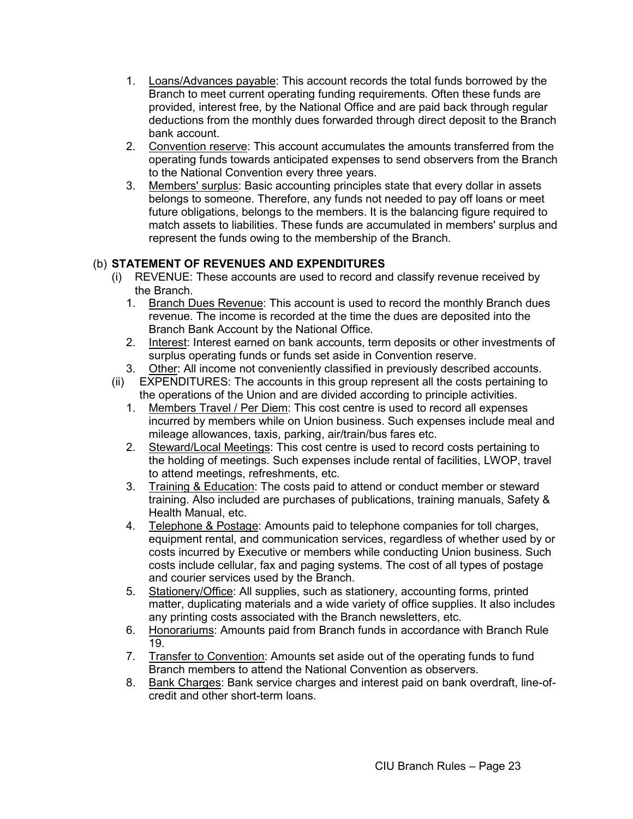- 1. Loans/Advances payable: This account records the total funds borrowed by the Branch to meet current operating funding requirements. Often these funds are provided, interest free, by the National Office and are paid back through regular deductions from the monthly dues forwarded through direct deposit to the Branch bank account.
- 2. Convention reserve: This account accumulates the amounts transferred from the operating funds towards anticipated expenses to send observers from the Branch to the National Convention every three years.
- 3. Members' surplus: Basic accounting principles state that every dollar in assets belongs to someone. Therefore, any funds not needed to pay off loans or meet future obligations, belongs to the members. It is the balancing figure required to match assets to liabilities. These funds are accumulated in members' surplus and represent the funds owing to the membership of the Branch.

# (b) **STATEMENT OF REVENUES AND EXPENDITURES**

- (i) REVENUE: These accounts are used to record and classify revenue received by the Branch.
	- 1. Branch Dues Revenue: This account is used to record the monthly Branch dues revenue. The income is recorded at the time the dues are deposited into the Branch Bank Account by the National Office.
	- 2. Interest: Interest earned on bank accounts, term deposits or other investments of surplus operating funds or funds set aside in Convention reserve.
	- 3. Other: All income not conveniently classified in previously described accounts.
- (ii) EXPENDITURES: The accounts in this group represent all the costs pertaining to the operations of the Union and are divided according to principle activities.
	- 1. Members Travel / Per Diem: This cost centre is used to record all expenses incurred by members while on Union business. Such expenses include meal and mileage allowances, taxis, parking, air/train/bus fares etc.
	- 2. Steward/Local Meetings: This cost centre is used to record costs pertaining to the holding of meetings. Such expenses include rental of facilities, LWOP, travel to attend meetings, refreshments, etc.
	- 3. Training & Education: The costs paid to attend or conduct member or steward training. Also included are purchases of publications, training manuals, Safety & Health Manual, etc.
	- 4. Telephone & Postage: Amounts paid to telephone companies for toll charges, equipment rental, and communication services, regardless of whether used by or costs incurred by Executive or members while conducting Union business. Such costs include cellular, fax and paging systems. The cost of all types of postage and courier services used by the Branch.
	- 5. Stationery/Office: All supplies, such as stationery, accounting forms, printed matter, duplicating materials and a wide variety of office supplies. It also includes any printing costs associated with the Branch newsletters, etc.
	- 6. Honorariums: Amounts paid from Branch funds in accordance with Branch Rule 19.
	- 7. Transfer to Convention: Amounts set aside out of the operating funds to fund Branch members to attend the National Convention as observers.
	- 8. Bank Charges: Bank service charges and interest paid on bank overdraft, line-ofcredit and other short-term loans.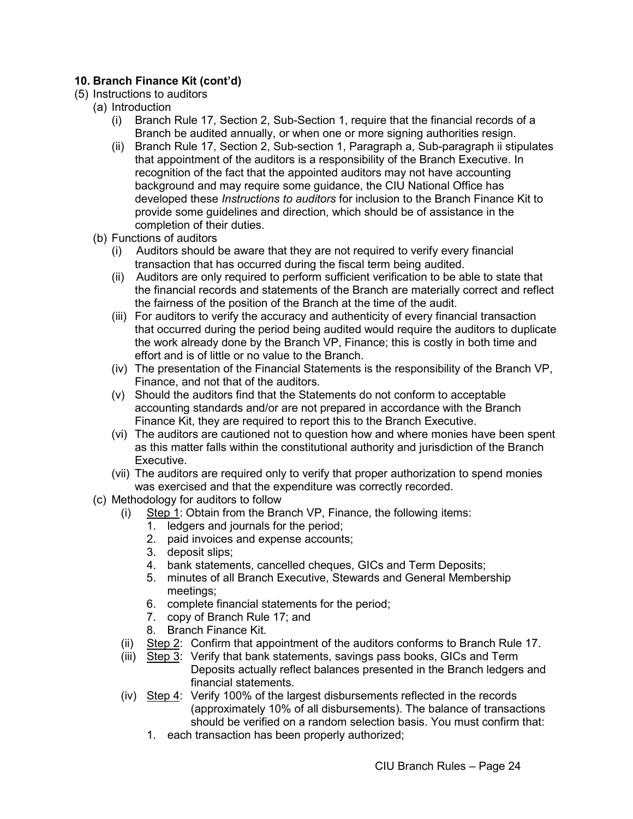# **10. Branch Finance Kit (cont'd)**

- <span id="page-26-0"></span>(5) Instructions to auditors
	- (a) Introduction
		- (i) Branch Rule 17, Section 2, Sub-Section 1, require that the financial records of a Branch be audited annually, or when one or more signing authorities resign.
		- (ii) Branch Rule 17, Section 2, Sub-section 1, Paragraph a, Sub-paragraph ii stipulates that appointment of the auditors is a responsibility of the Branch Executive. In recognition of the fact that the appointed auditors may not have accounting background and may require some guidance, the CIU National Office has developed these *Instructions to auditors* for inclusion to the Branch Finance Kit to provide some guidelines and direction, which should be of assistance in the completion of their duties.
	- (b) Functions of auditors
		- (i) Auditors should be aware that they are not required to verify every financial transaction that has occurred during the fiscal term being audited.
		- (ii) Auditors are only required to perform sufficient verification to be able to state that the financial records and statements of the Branch are materially correct and reflect the fairness of the position of the Branch at the time of the audit.
		- (iii) For auditors to verify the accuracy and authenticity of every financial transaction that occurred during the period being audited would require the auditors to duplicate the work already done by the Branch VP, Finance; this is costly in both time and effort and is of little or no value to the Branch.
		- (iv) The presentation of the Financial Statements is the responsibility of the Branch VP, Finance, and not that of the auditors.
		- (v) Should the auditors find that the Statements do not conform to acceptable accounting standards and/or are not prepared in accordance with the Branch Finance Kit, they are required to report this to the Branch Executive.
		- (vi) The auditors are cautioned not to question how and where monies have been spent as this matter falls within the constitutional authority and jurisdiction of the Branch Executive.
		- (vii) The auditors are required only to verify that proper authorization to spend monies was exercised and that the expenditure was correctly recorded.
	- (c) Methodology for auditors to follow
		- (i) Step 1: Obtain from the Branch VP, Finance, the following items:
			- 1. ledgers and journals for the period;
			- 2. paid invoices and expense accounts;
			- 3. deposit slips;
			- 4. bank statements, cancelled cheques, GICs and Term Deposits;
			- 5. minutes of all Branch Executive, Stewards and General Membership meetings;
			- 6. complete financial statements for the period;
			- 7. copy of Branch Rule 17; and
			- 8. Branch Finance Kit.
		- (ii) Step 2: Confirm that appointment of the auditors conforms to Branch Rule 17.
		- (iii) Step 3: Verify that bank statements, savings pass books, GICs and Term Deposits actually reflect balances presented in the Branch ledgers and financial statements.
		- (iv) Step 4: Verify 100% of the largest disbursements reflected in the records (approximately 10% of all disbursements). The balance of transactions should be verified on a random selection basis. You must confirm that:
			- 1. each transaction has been properly authorized;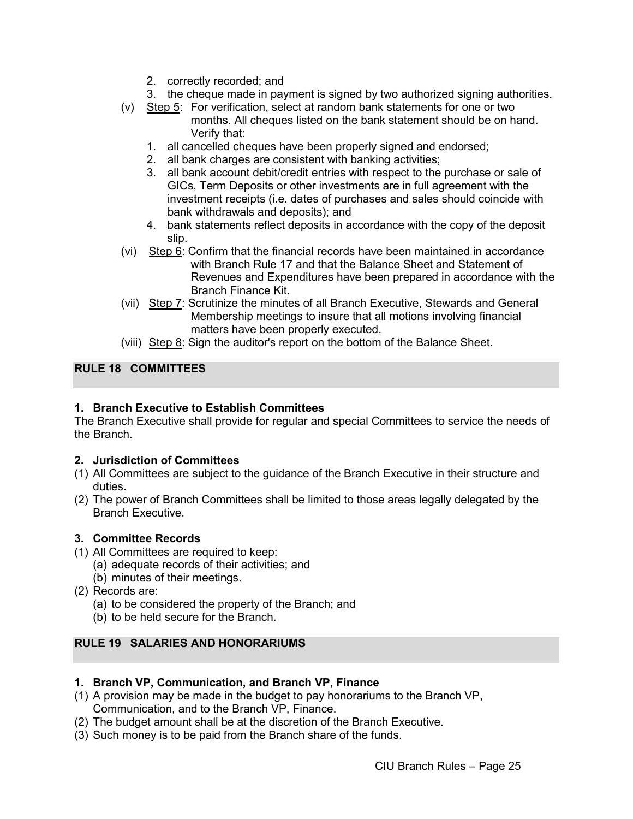- 2. correctly recorded; and
- 3. the cheque made in payment is signed by two authorized signing authorities.
- (v) Step 5: For verification, select at random bank statements for one or two months. All cheques listed on the bank statement should be on hand. Verify that:
	- 1. all cancelled cheques have been properly signed and endorsed;
	- 2. all bank charges are consistent with banking activities;
	- 3. all bank account debit/credit entries with respect to the purchase or sale of GICs, Term Deposits or other investments are in full agreement with the investment receipts (i.e. dates of purchases and sales should coincide with bank withdrawals and deposits); and
	- 4. bank statements reflect deposits in accordance with the copy of the deposit slip.
- (vi) Step  $6$ : Confirm that the financial records have been maintained in accordance with Branch Rule 17 and that the Balance Sheet and Statement of Revenues and Expenditures have been prepared in accordance with the Branch Finance Kit.
- (vii) Step 7: Scrutinize the minutes of all Branch Executive, Stewards and General Membership meetings to insure that all motions involving financial matters have been properly executed.
- (viii) Step 8: Sign the auditor's report on the bottom of the Balance Sheet.

# <span id="page-27-0"></span>**RULE 18 COMMITTEES**

## <span id="page-27-1"></span>**1. Branch Executive to Establish Committees**

The Branch Executive shall provide for regular and special Committees to service the needs of the Branch.

#### <span id="page-27-2"></span>**2. Jurisdiction of Committees**

- (1) All Committees are subject to the guidance of the Branch Executive in their structure and duties.
- (2) The power of Branch Committees shall be limited to those areas legally delegated by the Branch Executive.

#### <span id="page-27-3"></span>**3. Committee Records**

- (1) All Committees are required to keep:
	- (a) adequate records of their activities; and
	- (b) minutes of their meetings.
- (2) Records are:
	- (a) to be considered the property of the Branch; and
	- (b) to be held secure for the Branch.

# <span id="page-27-4"></span>**RULE 19 SALARIES AND HONORARIUMS**

#### <span id="page-27-5"></span>**1. Branch VP, Communication, and Branch VP, Finance**

- (1) A provision may be made in the budget to pay honorariums to the Branch VP, Communication, and to the Branch VP, Finance.
- (2) The budget amount shall be at the discretion of the Branch Executive.
- (3) Such money is to be paid from the Branch share of the funds.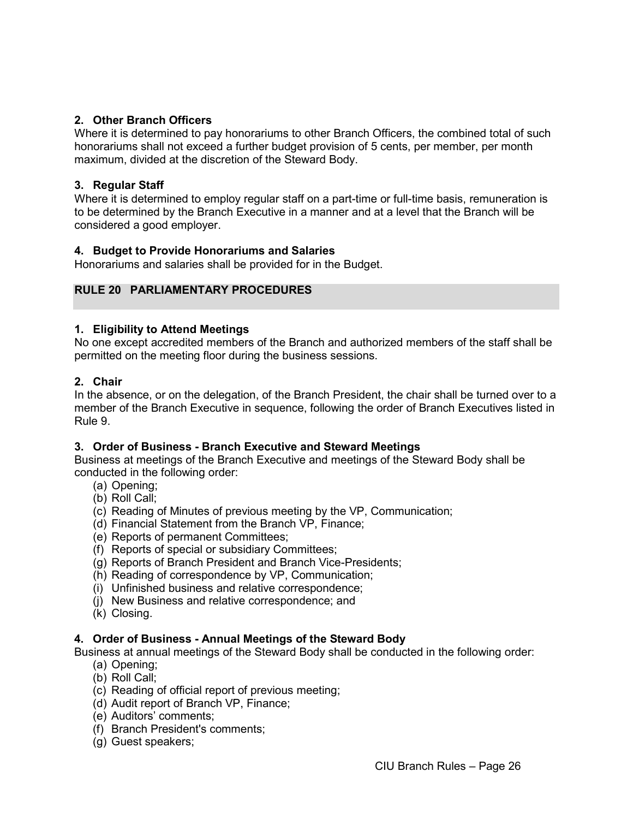## <span id="page-28-0"></span>**2. Other Branch Officers**

Where it is determined to pay honorariums to other Branch Officers, the combined total of such honorariums shall not exceed a further budget provision of 5 cents, per member, per month maximum, divided at the discretion of the Steward Body.

### <span id="page-28-1"></span>**3. Regular Staff**

Where it is determined to employ regular staff on a part-time or full-time basis, remuneration is to be determined by the Branch Executive in a manner and at a level that the Branch will be considered a good employer.

#### <span id="page-28-2"></span>**4. Budget to Provide Honorariums and Salaries**

Honorariums and salaries shall be provided for in the Budget.

## <span id="page-28-3"></span>**RULE 20 PARLIAMENTARY PROCEDURES**

#### <span id="page-28-4"></span>**1. Eligibility to Attend Meetings**

No one except accredited members of the Branch and authorized members of the staff shall be permitted on the meeting floor during the business sessions.

#### <span id="page-28-5"></span>**2. Chair**

In the absence, or on the delegation, of the Branch President, the chair shall be turned over to a member of the Branch Executive in sequence, following the order of Branch Executives listed in Rule 9.

#### <span id="page-28-6"></span>**3. Order of Business - Branch Executive and Steward Meetings**

Business at meetings of the Branch Executive and meetings of the Steward Body shall be conducted in the following order:

- (a) Opening;
- (b) Roll Call;
- (c) Reading of Minutes of previous meeting by the VP, Communication;
- (d) Financial Statement from the Branch VP, Finance;
- (e) Reports of permanent Committees;
- (f) Reports of special or subsidiary Committees;
- (g) Reports of Branch President and Branch Vice-Presidents;
- (h) Reading of correspondence by VP, Communication;
- (i) Unfinished business and relative correspondence;
- (j) New Business and relative correspondence; and
- (k) Closing.

#### <span id="page-28-7"></span>**4. Order of Business - Annual Meetings of the Steward Body**

Business at annual meetings of the Steward Body shall be conducted in the following order:

- (a) Opening;
- (b) Roll Call;
- (c) Reading of official report of previous meeting;
- (d) Audit report of Branch VP, Finance;
- (e) Auditors' comments;
- (f) Branch President's comments;
- (g) Guest speakers;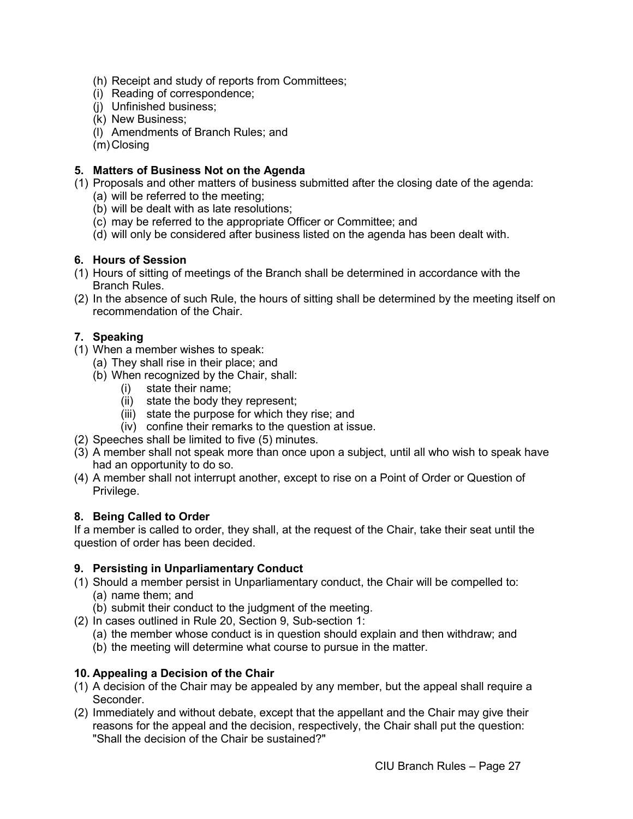- (h) Receipt and study of reports from Committees;
- (i) Reading of correspondence;
- (j) Unfinished business;
- (k) New Business;
- (l) Amendments of Branch Rules; and
- (m)Closing

# <span id="page-29-0"></span>**5. Matters of Business Not on the Agenda**

- (1) Proposals and other matters of business submitted after the closing date of the agenda:
	- (a) will be referred to the meeting;
	- (b) will be dealt with as late resolutions;
	- (c) may be referred to the appropriate Officer or Committee; and
	- (d) will only be considered after business listed on the agenda has been dealt with.

# <span id="page-29-1"></span>**6. Hours of Session**

- (1) Hours of sitting of meetings of the Branch shall be determined in accordance with the Branch Rules.
- (2) In the absence of such Rule, the hours of sitting shall be determined by the meeting itself on recommendation of the Chair.

# <span id="page-29-2"></span>**7. Speaking**

- (1) When a member wishes to speak:
	- (a) They shall rise in their place; and
	- (b) When recognized by the Chair, shall:
		- (i) state their name;
		- (ii) state the body they represent;
		- (iii) state the purpose for which they rise; and
		- (iv) confine their remarks to the question at issue.
- (2) Speeches shall be limited to five (5) minutes.
- (3) A member shall not speak more than once upon a subject, until all who wish to speak have had an opportunity to do so.
- (4) A member shall not interrupt another, except to rise on a Point of Order or Question of Privilege.

# <span id="page-29-3"></span>**8. Being Called to Order**

If a member is called to order, they shall, at the request of the Chair, take their seat until the question of order has been decided.

# <span id="page-29-4"></span>**9. Persisting in Unparliamentary Conduct**

- (1) Should a member persist in Unparliamentary conduct, the Chair will be compelled to:
	- (a) name them; and
	- (b) submit their conduct to the judgment of the meeting.
- (2) In cases outlined in Rule 20, Section 9, Sub-section 1:
	- (a) the member whose conduct is in question should explain and then withdraw; and
	- (b) the meeting will determine what course to pursue in the matter.

# <span id="page-29-5"></span>**10. Appealing a Decision of the Chair**

- (1) A decision of the Chair may be appealed by any member, but the appeal shall require a Seconder.
- (2) Immediately and without debate, except that the appellant and the Chair may give their reasons for the appeal and the decision, respectively, the Chair shall put the question: "Shall the decision of the Chair be sustained?"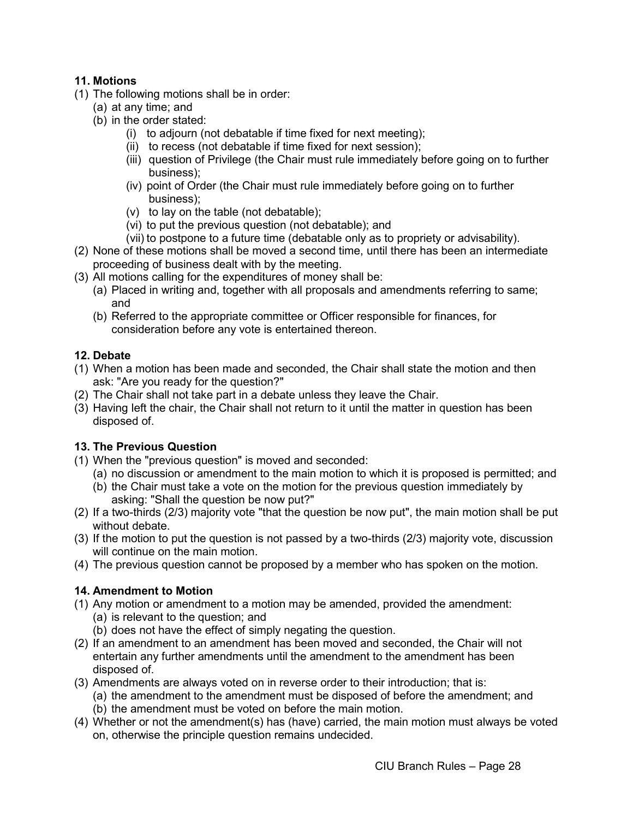# <span id="page-30-0"></span>**11. Motions**

- (1) The following motions shall be in order:
	- (a) at any time; and
	- (b) in the order stated:
		- (i) to adjourn (not debatable if time fixed for next meeting);
		- (ii) to recess (not debatable if time fixed for next session);
		- (iii) question of Privilege (the Chair must rule immediately before going on to further business);
		- (iv) point of Order (the Chair must rule immediately before going on to further business);
		- (v) to lay on the table (not debatable);
		- (vi) to put the previous question (not debatable); and
		- (vii) to postpone to a future time (debatable only as to propriety or advisability).
- (2) None of these motions shall be moved a second time, until there has been an intermediate proceeding of business dealt with by the meeting.
- (3) All motions calling for the expenditures of money shall be:
	- (a) Placed in writing and, together with all proposals and amendments referring to same; and
	- (b) Referred to the appropriate committee or Officer responsible for finances, for consideration before any vote is entertained thereon.

# <span id="page-30-1"></span>**12. Debate**

- (1) When a motion has been made and seconded, the Chair shall state the motion and then ask: "Are you ready for the question?"
- (2) The Chair shall not take part in a debate unless they leave the Chair.
- (3) Having left the chair, the Chair shall not return to it until the matter in question has been disposed of.

# <span id="page-30-2"></span>**13. The Previous Question**

- (1) When the "previous question" is moved and seconded:
	- (a) no discussion or amendment to the main motion to which it is proposed is permitted; and
	- (b) the Chair must take a vote on the motion for the previous question immediately by asking: "Shall the question be now put?"
- (2) If a two-thirds (2/3) majority vote "that the question be now put", the main motion shall be put without debate.
- (3) If the motion to put the question is not passed by a two-thirds (2/3) majority vote, discussion will continue on the main motion.
- (4) The previous question cannot be proposed by a member who has spoken on the motion.

# <span id="page-30-3"></span>**14. Amendment to Motion**

- (1) Any motion or amendment to a motion may be amended, provided the amendment: (a) is relevant to the question; and
	- (b) does not have the effect of simply negating the question.
- (2) If an amendment to an amendment has been moved and seconded, the Chair will not entertain any further amendments until the amendment to the amendment has been disposed of.
- (3) Amendments are always voted on in reverse order to their introduction; that is:
	- (a) the amendment to the amendment must be disposed of before the amendment; and
		- (b) the amendment must be voted on before the main motion.
- (4) Whether or not the amendment(s) has (have) carried, the main motion must always be voted on, otherwise the principle question remains undecided.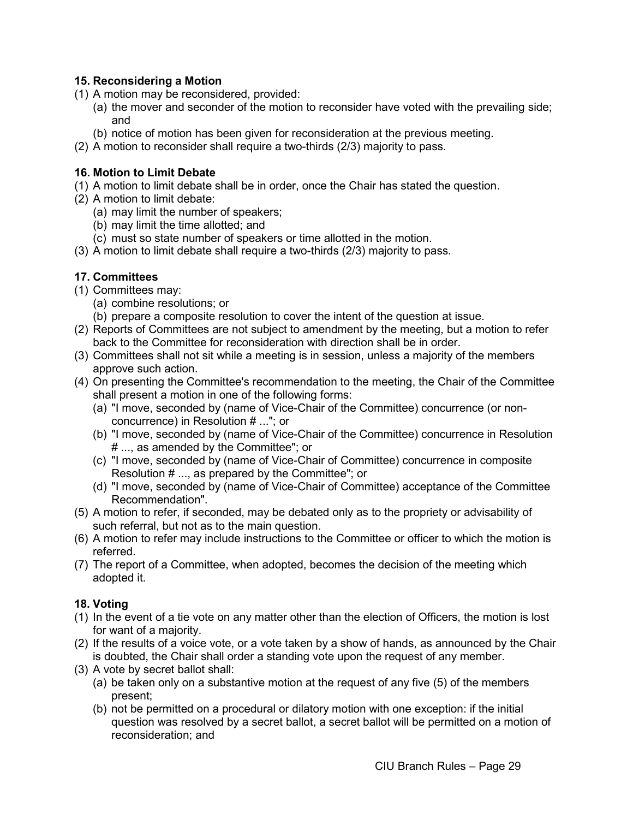# <span id="page-31-0"></span>**15. Reconsidering a Motion**

- (1) A motion may be reconsidered, provided:
	- (a) the mover and seconder of the motion to reconsider have voted with the prevailing side; and
	- (b) notice of motion has been given for reconsideration at the previous meeting.
- (2) A motion to reconsider shall require a two-thirds (2/3) majority to pass.

# <span id="page-31-1"></span>**16. Motion to Limit Debate**

- (1) A motion to limit debate shall be in order, once the Chair has stated the question.
- (2) A motion to limit debate:
	- (a) may limit the number of speakers;
	- (b) may limit the time allotted; and
	- (c) must so state number of speakers or time allotted in the motion.
- (3) A motion to limit debate shall require a two-thirds (2/3) majority to pass.

# <span id="page-31-2"></span>**17. Committees**

- (1) Committees may:
	- (a) combine resolutions; or
	- (b) prepare a composite resolution to cover the intent of the question at issue.
- (2) Reports of Committees are not subject to amendment by the meeting, but a motion to refer back to the Committee for reconsideration with direction shall be in order.
- (3) Committees shall not sit while a meeting is in session, unless a majority of the members approve such action.
- (4) On presenting the Committee's recommendation to the meeting, the Chair of the Committee shall present a motion in one of the following forms:
	- (a) "I move, seconded by (name of Vice-Chair of the Committee) concurrence (or nonconcurrence) in Resolution # ..."; or
	- (b) "I move, seconded by (name of Vice-Chair of the Committee) concurrence in Resolution # ..., as amended by the Committee"; or
	- (c) "I move, seconded by (name of Vice-Chair of Committee) concurrence in composite Resolution # ..., as prepared by the Committee"; or
	- (d) "I move, seconded by (name of Vice-Chair of Committee) acceptance of the Committee Recommendation".
- (5) A motion to refer, if seconded, may be debated only as to the propriety or advisability of such referral, but not as to the main question.
- (6) A motion to refer may include instructions to the Committee or officer to which the motion is referred.
- (7) The report of a Committee, when adopted, becomes the decision of the meeting which adopted it.

# <span id="page-31-3"></span>**18. Voting**

- (1) In the event of a tie vote on any matter other than the election of Officers, the motion is lost for want of a majority.
- (2) If the results of a voice vote, or a vote taken by a show of hands, as announced by the Chair is doubted, the Chair shall order a standing vote upon the request of any member.
- (3) A vote by secret ballot shall:
	- (a) be taken only on a substantive motion at the request of any five (5) of the members present;
	- (b) not be permitted on a procedural or dilatory motion with one exception: if the initial question was resolved by a secret ballot, a secret ballot will be permitted on a motion of reconsideration; and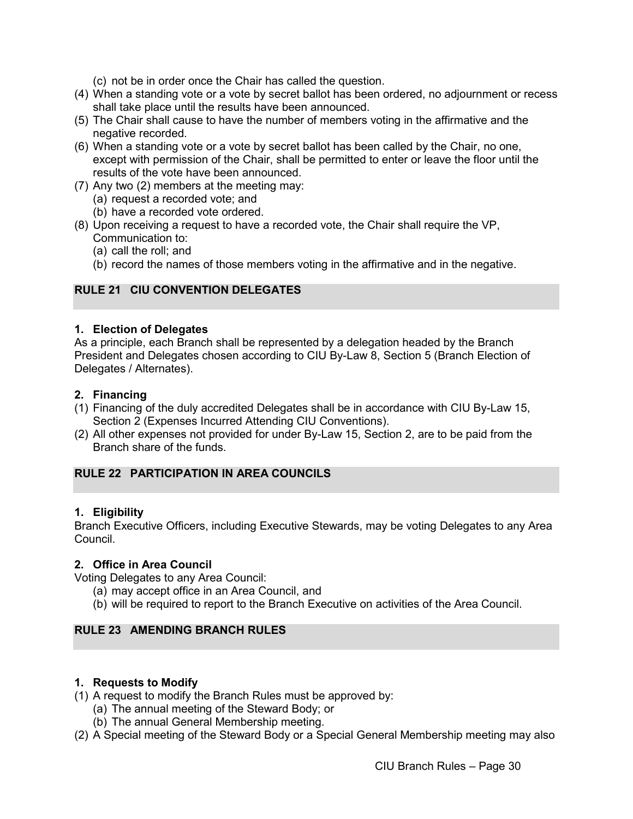(c) not be in order once the Chair has called the question.

- (4) When a standing vote or a vote by secret ballot has been ordered, no adjournment or recess shall take place until the results have been announced.
- (5) The Chair shall cause to have the number of members voting in the affirmative and the negative recorded.
- (6) When a standing vote or a vote by secret ballot has been called by the Chair, no one, except with permission of the Chair, shall be permitted to enter or leave the floor until the results of the vote have been announced.
- (7) Any two (2) members at the meeting may:
	- (a) request a recorded vote; and
	- (b) have a recorded vote ordered.
- (8) Upon receiving a request to have a recorded vote, the Chair shall require the VP, Communication to:
	- (a) call the roll; and
	- (b) record the names of those members voting in the affirmative and in the negative.

# <span id="page-32-0"></span>**RULE 21 CIU CONVENTION DELEGATES**

#### <span id="page-32-1"></span>**1. Election of Delegates**

As a principle, each Branch shall be represented by a delegation headed by the Branch President and Delegates chosen according to CIU By-Law 8, Section 5 (Branch Election of Delegates / Alternates).

#### <span id="page-32-2"></span>**2. Financing**

- (1) Financing of the duly accredited Delegates shall be in accordance with CIU By-Law 15, Section 2 (Expenses Incurred Attending CIU Conventions).
- (2) All other expenses not provided for under By-Law 15, Section 2, are to be paid from the Branch share of the funds.

# <span id="page-32-3"></span>**RULE 22 PARTICIPATION IN AREA COUNCILS**

#### <span id="page-32-4"></span>**1. Eligibility**

Branch Executive Officers, including Executive Stewards, may be voting Delegates to any Area Council.

#### <span id="page-32-5"></span>**2. Office in Area Council**

Voting Delegates to any Area Council:

- (a) may accept office in an Area Council, and
- (b) will be required to report to the Branch Executive on activities of the Area Council.

#### <span id="page-32-7"></span><span id="page-32-6"></span>**RULE 23 AMENDING BRANCH RULES**

#### **1. Requests to Modify**

- (1) A request to modify the Branch Rules must be approved by:
	- (a) The annual meeting of the Steward Body; or
	- (b) The annual General Membership meeting.
- (2) A Special meeting of the Steward Body or a Special General Membership meeting may also